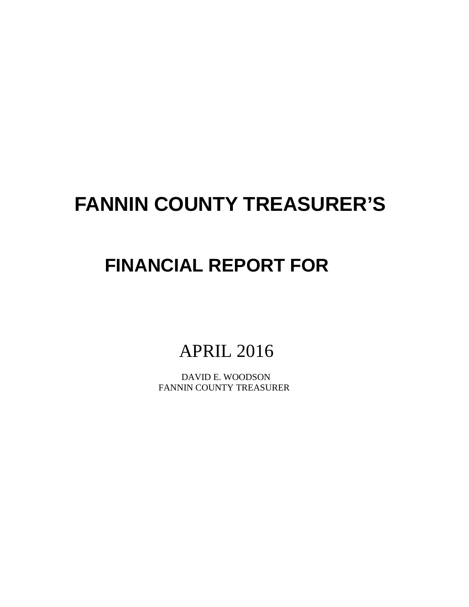# **FANNIN COUNTY TREASURER'S**

# **FINANCIAL REPORT FOR**

APRIL 2016

 DAVID E. WOODSON FANNIN COUNTY TREASURER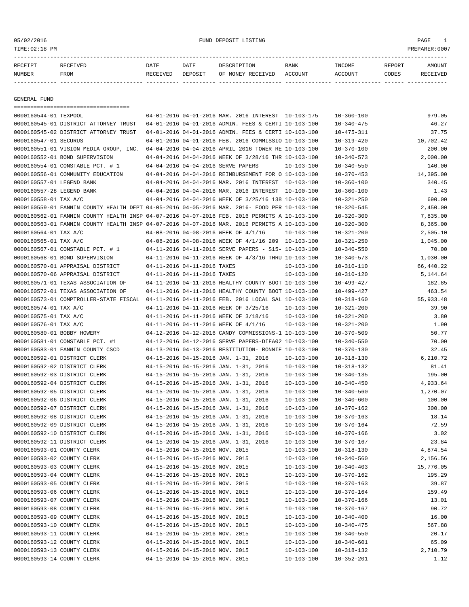# 05/02/2016 FUND DEPOSIT LISTING PAGE 1

| RECEIPT       | RECEIVED    | DATE     | DATE    | DESCRIPTION               | BANK | INCOME  | REPORT       | AMOUNT          |
|---------------|-------------|----------|---------|---------------------------|------|---------|--------------|-----------------|
| <b>NUMBER</b> | <b>FROM</b> | RECEIVED | DEPOSIT | OF MONEY RECEIVED ACCOUNT |      | ACCOUNT | <b>CODES</b> | <b>RECEIVED</b> |
|               |             |          |         |                           |      |         |              |                 |

GENERAL FUND

|                            | =====================================                                                        |                                 |                                                      |                  |                  |           |
|----------------------------|----------------------------------------------------------------------------------------------|---------------------------------|------------------------------------------------------|------------------|------------------|-----------|
| 0000160544-01 TEXPOOL      |                                                                                              |                                 | 04-01-2016 04-01-2016 MAR. 2016 INTEREST 10-103-175  |                  | $10 - 360 - 100$ | 979.05    |
|                            | 0000160545-01 DISTRICT ATTORNEY TRUST                                                        |                                 | 04-01-2016 04-01-2016 ADMIN. FEES & CERTI 10-103-100 |                  | $10 - 340 - 475$ | 46.27     |
|                            | 0000160545-02 DISTRICT ATTORNEY TRUST                                                        |                                 | 04-01-2016 04-01-2016 ADMIN. FEES & CERTI 10-103-100 |                  | $10 - 475 - 311$ | 37.75     |
| 0000160547-01 SECURUS      |                                                                                              |                                 | 04-01-2016 04-01-2016 FEB. 2016 COMMISSIO 10-103-100 |                  | $10 - 319 - 420$ | 10,702.42 |
|                            | 0000160551-01 VISION MEDIA GROUP, INC.                                                       |                                 | 04-04-2016 04-04-2016 APRIL 2016 TOWER RE 10-103-100 |                  | $10 - 370 - 100$ | 200.00    |
|                            | 0000160552-01 BOND SUPERVISION                                                               |                                 | 04-04-2016 04-04-2016 WEEK OF 3/28/16 THR 10-103-100 |                  | $10 - 340 - 573$ | 2,000.00  |
|                            | 0000160554-01 CONSTABLE PCT. # 1                                                             |                                 | 04-04-2016 04-04-2016 SERVE PAPERS                   | 10-103-100       | $10 - 340 - 550$ | 140.00    |
|                            | 0000160556-01 COMMUNITY EDUCATION                                                            |                                 | 04-04-2016 04-04-2016 REIMBURSEMENT FOR O 10-103-100 |                  | $10 - 370 - 453$ | 14,395.00 |
| 0000160557-01 LEGEND BANK  |                                                                                              |                                 | 04-04-2016 04-04-2016 MAR. 2016 INTEREST 10-103-100  |                  | $10 - 360 - 100$ | 340.45    |
| 0000160557-28 LEGEND BANK  |                                                                                              |                                 | 04-04-2016 04-04-2016 MAR. 2016 INTEREST 10-100-100  |                  | $10 - 360 - 100$ | 1.43      |
| 0000160558-01 TAX A/C      |                                                                                              |                                 | 04-04-2016 04-04-2016 WEEK OF 3/25/16 138 10-103-100 |                  | $10 - 321 - 250$ | 690.00    |
|                            | 0000160559-01 FANNIN COUNTY HEALTH DEPT 04-05-2016 04-05-2016 MAR. 2016- FOOD PER 10-103-100 |                                 |                                                      |                  | $10 - 320 - 545$ | 2,450.00  |
|                            | 0000160562-01 FANNIN COUNTY HEALTH INSP 04-07-2016 04-07-2016 FEB. 2016 PERMITS A 10-103-100 |                                 |                                                      |                  | $10 - 320 - 300$ | 7,835.00  |
|                            | 0000160563-01 FANNIN COUNTY HEALTH INSP 04-07-2016 04-07-2016 MAR. 2016 PERMITS A 10-103-100 |                                 |                                                      |                  | $10 - 320 - 300$ | 8,365.00  |
| 0000160564-01 TAX A/C      |                                                                                              |                                 | 04-08-2016 04-08-2016 WEEK OF 4/1/16                 | $10 - 103 - 100$ | $10 - 321 - 200$ | 2,505.10  |
| 0000160565-01 TAX A/C      |                                                                                              |                                 | 04-08-2016 04-08-2016 WEEK OF 4/1/16 209 10-103-100  |                  | $10 - 321 - 250$ | 1,045.00  |
|                            | 0000160567-01 CONSTABLE PCT. # 1                                                             |                                 | 04-11-2016 04-11-2016 SERVE PAPERS - S15- 10-103-100 |                  | $10 - 340 - 550$ | 70.00     |
|                            | 0000160568-01 BOND SUPERVISION                                                               |                                 | 04-11-2016 04-11-2016 WEEK OF 4/3/16 THRU 10-103-100 |                  | $10 - 340 - 573$ | 1,030.00  |
|                            | 0000160570-01 APPRAISAL DISTRICT                                                             | 04-11-2016 04-11-2016 TAXES     |                                                      | $10 - 103 - 100$ | $10 - 310 - 110$ | 66,440.22 |
|                            | 0000160570-06 APPRAISAL DISTRICT                                                             | 04-11-2016 04-11-2016 TAXES     |                                                      | $10 - 103 - 100$ | $10 - 310 - 120$ | 5,144.64  |
|                            | 0000160571-01 TEXAS ASSOCIATION OF                                                           |                                 | 04-11-2016 04-11-2016 HEALTHY COUNTY BOOT 10-103-100 |                  | $10 - 499 - 427$ | 182.85    |
|                            | 0000160572-01 TEXAS ASSOCIATION OF                                                           |                                 | 04-11-2016 04-11-2016 HEALTHY COUNTY BOOT 10-103-100 |                  | $10 - 499 - 427$ | 463.54    |
|                            | 0000160573-01 COMPTROLLER-STATE FISCAL                                                       |                                 | 04-11-2016 04-11-2016 FEB. 2016 LOCAL SAL 10-103-100 |                  | $10 - 318 - 160$ | 55,933.48 |
| 0000160574-01 TAX A/C      |                                                                                              |                                 | 04-11-2016 04-11-2016 WEEK OF 3/25/16                | $10 - 103 - 100$ | $10 - 321 - 200$ | 39.90     |
| 0000160575-01 TAX A/C      |                                                                                              |                                 | 04-11-2016 04-11-2016 WEEK OF 3/18/16                | $10 - 103 - 100$ | $10 - 321 - 200$ | 3.80      |
| 0000160576-01 TAX A/C      |                                                                                              |                                 | 04-11-2016 04-11-2016 WEEK OF 4/1/16                 | $10 - 103 - 100$ | $10 - 321 - 200$ | 1.90      |
| 0000160580-01 BOBBY HOWERY |                                                                                              |                                 | 04-12-2016 04-12-2016 CANDY COMMISSIONS-1 10-103-100 |                  | $10 - 370 - 509$ | 50.77     |
|                            | 0000160581-01 CONSTABLE PCT. #1                                                              |                                 | 04-12-2016 04-12-2016 SERVE PAPERS-DIFA02 10-103-100 |                  | $10 - 340 - 550$ | 70.00     |
|                            | 0000160583-01 FANNIN COUNTY CSCD                                                             |                                 | 04-13-2016 04-13-2016 RESTITUTION- RONNIE 10-103-100 |                  | $10 - 370 - 130$ | 32.45     |
|                            | 0000160592-01 DISTRICT CLERK                                                                 |                                 | 04-15-2016 04-15-2016 JAN. 1-31, 2016                | 10-103-100       | $10 - 318 - 130$ | 6,210.72  |
|                            | 0000160592-02 DISTRICT CLERK                                                                 |                                 | 04-15-2016 04-15-2016 JAN. 1-31, 2016                | $10 - 103 - 100$ | $10 - 318 - 132$ | 81.41     |
|                            | 0000160592-03 DISTRICT CLERK                                                                 |                                 | 04-15-2016 04-15-2016 JAN. 1-31, 2016                | $10 - 103 - 100$ | $10 - 340 - 135$ | 195.00    |
|                            | 0000160592-04 DISTRICT CLERK                                                                 |                                 | 04-15-2016 04-15-2016 JAN. 1-31, 2016                | $10 - 103 - 100$ | $10 - 340 - 450$ | 4,933.64  |
|                            | 0000160592-05 DISTRICT CLERK                                                                 |                                 | 04-15-2016 04-15-2016 JAN. 1-31, 2016                | $10 - 103 - 100$ | $10 - 340 - 560$ | 1,270.07  |
|                            | 0000160592-06 DISTRICT CLERK                                                                 |                                 | 04-15-2016 04-15-2016 JAN. 1-31, 2016                | $10 - 103 - 100$ | $10 - 340 - 600$ | 100.00    |
|                            | 0000160592-07 DISTRICT CLERK                                                                 |                                 | 04-15-2016 04-15-2016 JAN. 1-31, 2016                | $10 - 103 - 100$ | $10 - 370 - 162$ | 300.00    |
|                            | 0000160592-08 DISTRICT CLERK                                                                 |                                 | 04-15-2016 04-15-2016 JAN. 1-31, 2016                | $10 - 103 - 100$ | $10 - 370 - 163$ | 18.14     |
|                            | 0000160592-09 DISTRICT CLERK                                                                 |                                 | 04-15-2016 04-15-2016 JAN. 1-31, 2016                | $10 - 103 - 100$ | $10 - 370 - 164$ | 72.59     |
|                            | 0000160592-10 DISTRICT CLERK                                                                 |                                 | 04-15-2016 04-15-2016 JAN. 1-31, 2016                | $10 - 103 - 100$ | $10 - 370 - 166$ | 3.02      |
|                            | 0000160592-11 DISTRICT CLERK                                                                 |                                 | 04-15-2016 04-15-2016 JAN. 1-31, 2016                | $10 - 103 - 100$ | $10 - 370 - 167$ | 23.84     |
| 0000160593-01 COUNTY CLERK |                                                                                              | 04-15-2016 04-15-2016 NOV. 2015 |                                                      | $10 - 103 - 100$ | $10 - 318 - 130$ | 4,874.54  |
| 0000160593-02 COUNTY CLERK |                                                                                              | 04-15-2016 04-15-2016 NOV. 2015 |                                                      | $10 - 103 - 100$ | $10 - 340 - 560$ | 2,156.56  |
| 0000160593-03 COUNTY CLERK |                                                                                              | 04-15-2016 04-15-2016 NOV. 2015 |                                                      | $10 - 103 - 100$ | $10 - 340 - 403$ | 15,776.05 |
| 0000160593-04 COUNTY CLERK |                                                                                              | 04-15-2016 04-15-2016 NOV. 2015 |                                                      | $10 - 103 - 100$ | $10 - 370 - 162$ | 195.29    |
| 0000160593-05 COUNTY CLERK |                                                                                              | 04-15-2016 04-15-2016 NOV. 2015 |                                                      | $10 - 103 - 100$ | $10 - 370 - 163$ | 39.87     |
| 0000160593-06 COUNTY CLERK |                                                                                              | 04-15-2016 04-15-2016 NOV. 2015 |                                                      | $10 - 103 - 100$ | $10 - 370 - 164$ | 159.49    |
| 0000160593-07 COUNTY CLERK |                                                                                              | 04-15-2016 04-15-2016 NOV. 2015 |                                                      | $10 - 103 - 100$ | $10 - 370 - 166$ | 13.01     |
| 0000160593-08 COUNTY CLERK |                                                                                              | 04-15-2016 04-15-2016 NOV. 2015 |                                                      | $10 - 103 - 100$ | $10 - 370 - 167$ | 90.72     |
| 0000160593-09 COUNTY CLERK |                                                                                              | 04-15-2016 04-15-2016 NOV. 2015 |                                                      | $10 - 103 - 100$ | $10 - 340 - 400$ | 16.00     |
| 0000160593-10 COUNTY CLERK |                                                                                              | 04-15-2016 04-15-2016 NOV. 2015 |                                                      | $10 - 103 - 100$ | $10 - 340 - 475$ | 567.88    |
| 0000160593-11 COUNTY CLERK |                                                                                              | 04-15-2016 04-15-2016 NOV. 2015 |                                                      | $10 - 103 - 100$ | $10 - 340 - 550$ | 20.17     |
| 0000160593-12 COUNTY CLERK |                                                                                              | 04-15-2016 04-15-2016 NOV. 2015 |                                                      | $10 - 103 - 100$ | $10 - 340 - 601$ | 65.09     |
| 0000160593-13 COUNTY CLERK |                                                                                              | 04-15-2016 04-15-2016 NOV. 2015 |                                                      | $10 - 103 - 100$ | $10 - 318 - 132$ | 2,710.79  |
| 0000160593-14 COUNTY CLERK |                                                                                              | 04-15-2016 04-15-2016 NOV. 2015 |                                                      | $10 - 103 - 100$ | $10 - 352 - 201$ | 1.12      |
|                            |                                                                                              |                                 |                                                      |                  |                  |           |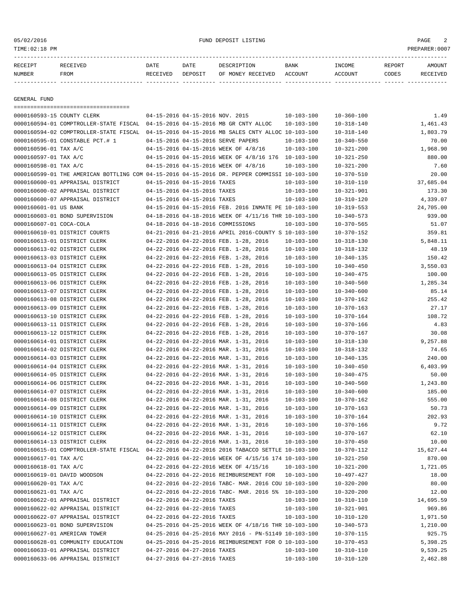# 05/02/2016 FUND DEPOSIT LISTING PAGE 2

| סדקומת | the contract of the contract of the contract of the contract of the contract of the contract of the contract of | DATE | DATF |     | <b>BANK</b> | <b>INCOME</b> | REPORT |  |
|--------|-----------------------------------------------------------------------------------------------------------------|------|------|-----|-------------|---------------|--------|--|
| NUMBER | ™∩אי                                                                                                            |      |      | הדר | ACCOINT     | CCOINT        | ⊃יםר∩י |  |

------------- ------------------------- ---------- ---------- ------------------- -------------- -------------- ------ ------------

GENERAL FUND

| ====================================                                                         |                                 |                             |                                                                                                                  |                                      |                                      |                    |
|----------------------------------------------------------------------------------------------|---------------------------------|-----------------------------|------------------------------------------------------------------------------------------------------------------|--------------------------------------|--------------------------------------|--------------------|
| 0000160593-15 COUNTY CLERK                                                                   | 04-15-2016 04-15-2016 NOV. 2015 |                             |                                                                                                                  | $10 - 103 - 100$                     | $10 - 360 - 100$                     | 1.49               |
| 0000160594-01 COMPTROLLER-STATE FISCAL 04-15-2016 04-15-2016 MB GR CNTY ALLOC                |                                 |                             |                                                                                                                  | $10 - 103 - 100$                     | $10 - 318 - 140$                     | 1,461.43           |
| 0000160594-02 COMPTROLLER-STATE FISCAL 04-15-2016 04-15-2016 MB SALES CNTY ALLOC 10-103-100  |                                 |                             |                                                                                                                  |                                      | $10 - 318 - 140$                     | 1,803.79           |
| 0000160595-01 CONSTABLE PCT.# 1                                                              |                                 |                             | 04-15-2016 04-15-2016 SERVE PAPERS                                                                               | $10 - 103 - 100$                     | $10 - 340 - 550$                     | 70.00              |
| 0000160596-01 TAX A/C                                                                        |                                 |                             | 04-15-2016 04-15-2016 WEEK OF 4/8/16                                                                             | $10 - 103 - 100$                     | $10 - 321 - 200$                     | 1,968.90           |
| 0000160597-01 TAX A/C                                                                        |                                 |                             | 04-15-2016 04-15-2016 WEEK OF 4/8/16 176 10-103-100                                                              |                                      | $10 - 321 - 250$                     | 880.00             |
| 0000160598-01 TAX A/C                                                                        |                                 |                             | 04-15-2016 04-15-2016 WEEK OF 4/8/16                                                                             | $10 - 103 - 100$                     | $10 - 321 - 200$                     | 7.60               |
| 0000160599-01 THE AMERICAN BOTTLING COM 04-15-2016 04-15-2016 DR. PEPPER COMMISSI 10-103-100 |                                 |                             |                                                                                                                  |                                      | $10 - 370 - 510$                     | 20.00              |
| 0000160600-01 APPRAISAL DISTRICT                                                             | 04-15-2016 04-15-2016 TAXES     |                             |                                                                                                                  | 10-103-100                           | $10 - 310 - 110$                     | 37,685.04          |
| 0000160600-02 APPRAISAL DISTRICT                                                             | 04-15-2016 04-15-2016 TAXES     |                             |                                                                                                                  | 10-103-100                           | $10 - 321 - 901$                     | 173.30             |
| 0000160600-07 APPRAISAL DISTRICT                                                             | 04-15-2016 04-15-2016 TAXES     |                             |                                                                                                                  | $10 - 103 - 100$                     | $10 - 310 - 120$                     | 4,339.07           |
| 0000160601-01 US BANK                                                                        |                                 |                             | 04-15-2016 04-15-2016 FEB. 2016 INMATE PE 10-103-100                                                             |                                      | $10 - 319 - 553$                     | 24,705.00          |
| 0000160603-01 BOND SUPERVISION                                                               |                                 |                             | 04-18-2016 04-18-2016 WEEK OF 4/11/16 THR 10-103-100                                                             |                                      | $10 - 340 - 573$                     | 939.00             |
| 0000160607-01 COCA-COLA                                                                      |                                 |                             | 04-18-2016 04-18-2016 COMMISSIONS                                                                                | $10 - 103 - 100$                     | 10-370-565                           | 51.07              |
| 0000160610-01 DISTRICT COURTS                                                                |                                 |                             | 04-21-2016 04-21-2016 APRIL 2016-COUNTY S 10-103-100                                                             |                                      | 10-370-152                           | 359.81             |
| 0000160613-01 DISTRICT CLERK                                                                 |                                 |                             | 04-22-2016 04-22-2016 FEB. 1-28, 2016                                                                            | $10 - 103 - 100$                     | $10 - 318 - 130$                     | 5,848.11           |
| 0000160613-02 DISTRICT CLERK                                                                 |                                 |                             | 04-22-2016 04-22-2016 FEB. 1-28, 2016                                                                            | $10 - 103 - 100$                     | 10-318-132                           | 48.19              |
| 0000160613-03 DISTRICT CLERK                                                                 |                                 |                             | 04-22-2016 04-22-2016 FEB. 1-28, 2016                                                                            | $10 - 103 - 100$                     | $10 - 340 - 135$                     | 150.42             |
| 0000160613-04 DISTRICT CLERK                                                                 |                                 |                             | 04-22-2016 04-22-2016 FEB. 1-28, 2016                                                                            | $10 - 103 - 100$                     | $10 - 340 - 450$                     | 3,550.03           |
| 0000160613-05 DISTRICT CLERK                                                                 |                                 |                             | 04-22-2016 04-22-2016 FEB. 1-28, 2016                                                                            | $10 - 103 - 100$                     | $10 - 340 - 475$                     | 100.00             |
| 0000160613-06 DISTRICT CLERK                                                                 |                                 |                             | 04-22-2016 04-22-2016 FEB. 1-28, 2016                                                                            | $10 - 103 - 100$                     | $10 - 340 - 560$                     | 1,285.34           |
| 0000160613-07 DISTRICT CLERK                                                                 |                                 |                             | 04-22-2016 04-22-2016 FEB. 1-28, 2016                                                                            | $10 - 103 - 100$                     | $10 - 340 - 600$                     | 85.14              |
| 0000160613-08 DISTRICT CLERK                                                                 |                                 |                             | 04-22-2016 04-22-2016 FEB. 1-28, 2016                                                                            | $10 - 103 - 100$                     | $10 - 370 - 162$                     | 255.42             |
| 0000160613-09 DISTRICT CLERK                                                                 |                                 |                             | 04-22-2016 04-22-2016 FEB. 1-28, 2016                                                                            | $10 - 103 - 100$                     | $10 - 370 - 163$                     | 27.17              |
| 0000160613-10 DISTRICT CLERK                                                                 |                                 |                             | 04-22-2016 04-22-2016 FEB. 1-28, 2016                                                                            | $10 - 103 - 100$                     | $10 - 370 - 164$                     | 108.72             |
| 0000160613-11 DISTRICT CLERK                                                                 |                                 |                             | 04-22-2016 04-22-2016 FEB. 1-28, 2016                                                                            | $10 - 103 - 100$                     | $10 - 370 - 166$                     | 4.83               |
| 0000160613-12 DISTRICT CLERK                                                                 |                                 |                             | 04-22-2016 04-22-2016 FEB. 1-28, 2016                                                                            | $10 - 103 - 100$                     | 10-370-167                           | 30.08              |
| 0000160614-01 DISTRICT CLERK                                                                 |                                 |                             | 04-22-2016 04-22-2016 MAR. 1-31, 2016                                                                            | $10 - 103 - 100$                     | $10 - 318 - 130$                     | 9,257.88           |
| 0000160614-02 DISTRICT CLERK                                                                 |                                 |                             | 04-22-2016 04-22-2016 MAR. 1-31, 2016                                                                            | $10 - 103 - 100$                     | $10 - 318 - 132$                     | 74.65              |
| 0000160614-03 DISTRICT CLERK                                                                 |                                 |                             | 04-22-2016 04-22-2016 MAR. 1-31, 2016                                                                            | $10 - 103 - 100$                     | $10 - 340 - 135$                     | 240.00             |
| 0000160614-04 DISTRICT CLERK                                                                 |                                 |                             | 04-22-2016 04-22-2016 MAR. 1-31, 2016                                                                            | 10-103-100                           | $10 - 340 - 450$                     | 6,403.99           |
| 0000160614-05 DISTRICT CLERK                                                                 |                                 |                             | 04-22-2016 04-22-2016 MAR. 1-31, 2016                                                                            | 10-103-100                           | $10 - 340 - 475$                     | 50.00              |
| 0000160614-06 DISTRICT CLERK                                                                 |                                 |                             | 04-22-2016 04-22-2016 MAR. 1-31, 2016                                                                            | $10 - 103 - 100$                     | $10 - 340 - 560$                     | 1,243.80           |
| 0000160614-07 DISTRICT CLERK                                                                 |                                 |                             | 04-22-2016 04-22-2016 MAR. 1-31, 2016                                                                            | $10 - 103 - 100$                     | $10 - 340 - 600$                     | 185.00             |
| 0000160614-08 DISTRICT CLERK                                                                 |                                 |                             | 04-22-2016 04-22-2016 MAR. 1-31, 2016                                                                            | $10 - 103 - 100$                     | 10-370-162                           | 555.00             |
| 0000160614-09 DISTRICT CLERK                                                                 |                                 |                             | 04-22-2016 04-22-2016 MAR. 1-31, 2016                                                                            | $10 - 103 - 100$                     | $10 - 370 - 163$                     | 50.73              |
| 0000160614-10 DISTRICT CLERK                                                                 |                                 |                             | 04-22-2016 04-22-2016 MAR. 1-31, 2016                                                                            | $10 - 103 - 100$                     | $10 - 370 - 164$                     | 202.93             |
| 0000160614-11 DISTRICT CLERK                                                                 |                                 |                             | 04-22-2016 04-22-2016 MAR. 1-31, 2016                                                                            | $10 - 103 - 100$                     | $10 - 370 - 166$                     | 9.72               |
| 0000160614-12 DISTRICT CLERK                                                                 |                                 |                             | 04-22-2016 04-22-2016 MAR. 1-31, 2016                                                                            | $10 - 103 - 100$                     | $10 - 370 - 167$                     | 62.10              |
| 0000160614-13 DISTRICT CLERK                                                                 |                                 |                             | 04-22-2016 04-22-2016 MAR. 1-31, 2016                                                                            | $10 - 103 - 100$                     | $10 - 370 - 450$                     | 10.00              |
| 0000160615-01 COMPTROLLER-STATE FISCAL 04-22-2016 04-22-2016 2016 TABACCO SETTLE 10-103-100  |                                 |                             |                                                                                                                  |                                      | $10 - 370 - 112$                     | 15,627.44          |
| 0000160617-01 TAX A/C                                                                        |                                 |                             | 04-22-2016 04-22-2016 WEEK OF 4/15/16 174 10-103-100                                                             |                                      | $10 - 321 - 250$                     | 870.00             |
| 0000160618-01 TAX A/C                                                                        |                                 |                             | 04-22-2016 04-22-2016 WEEK OF 4/15/16                                                                            | $10 - 103 - 100$                     | $10 - 321 - 200$                     | 1,721.05           |
| 0000160619-01 DAVID WOODSON                                                                  |                                 |                             | 04-22-2016 04-22-2016 REIMBURSEMENT FOR                                                                          | 10-103-100                           | 10-497-427                           | 18.00              |
| 0000160620-01 TAX A/C                                                                        |                                 |                             | 04-22-2016 04-22-2016 TABC- MAR. 2016 COU 10-103-100                                                             |                                      |                                      | 80.00              |
| 0000160621-01 TAX A/C                                                                        |                                 |                             | 04-22-2016 04-22-2016 TABC- MAR. 2016 5% 10-103-100                                                              |                                      | $10 - 320 - 200$                     | 12.00              |
| 0000160622-01 APPRAISAL DISTRICT                                                             | 04-22-2016 04-22-2016 TAXES     |                             |                                                                                                                  |                                      | $10 - 320 - 200$                     | 14,695.59          |
| 0000160622-02 APPRAISAL DISTRICT                                                             | 04-22-2016 04-22-2016 TAXES     |                             |                                                                                                                  | $10 - 103 - 100$<br>$10 - 103 - 100$ | $10 - 310 - 110$<br>$10 - 321 - 901$ | 969.86             |
|                                                                                              |                                 |                             |                                                                                                                  |                                      |                                      |                    |
| 0000160622-07 APPRAISAL DISTRICT                                                             | 04-22-2016 04-22-2016 TAXES     |                             |                                                                                                                  | $10 - 103 - 100$                     | $10 - 310 - 120$                     | 1,971.50           |
| 0000160623-01 BOND SUPERVISION<br>0000160627-01 AMERICAN TOWER                               |                                 |                             | 04-25-2016 04-25-2016 WEEK OF 4/18/16 THR 10-103-100                                                             |                                      | $10 - 340 - 573$                     | 1,210.00           |
| 0000160628-01 COMMUNITY EDUCATION                                                            |                                 |                             | $04-25-2016$ $04-25-2016$ MAY 2016 - PN-51149 10-103-100<br>04-25-2016 04-25-2016 REIMBURSEMENT FOR O 10-103-100 |                                      | $10 - 370 - 115$                     | 925.75<br>5,398.25 |
|                                                                                              |                                 |                             |                                                                                                                  |                                      | $10 - 370 - 453$                     |                    |
| 0000160633-01 APPRAISAL DISTRICT                                                             | 04-27-2016 04-27-2016 TAXES     |                             |                                                                                                                  | $10 - 103 - 100$                     | $10 - 310 - 110$                     | 9,539.25           |
| 0000160633-06 APPRAISAL DISTRICT                                                             |                                 | 04-27-2016 04-27-2016 TAXES |                                                                                                                  | $10 - 103 - 100$                     | $10 - 310 - 120$                     | 2,462.88           |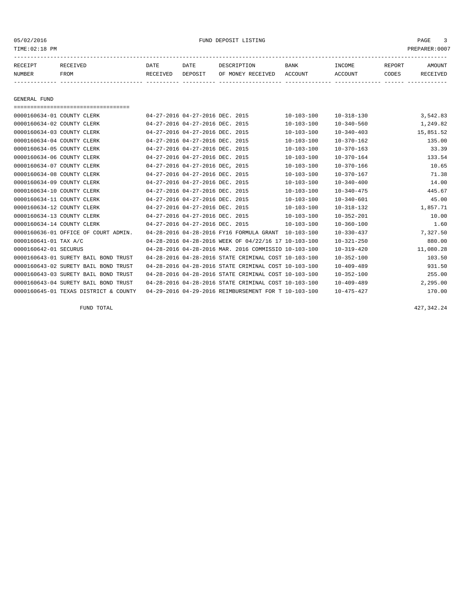#### 05/02/2016 FUND DEPOSIT LISTING PAGE 3

| RECEIPT       | RECEIVED    | DATE     | DATE    | DESCRIPTION               | BANK | <b>TNCOME</b> | REPORT | AMOUNT          |
|---------------|-------------|----------|---------|---------------------------|------|---------------|--------|-----------------|
| <b>NUMBER</b> | <b>FROM</b> | RECEIVED | DEPOSIT | OF MONEY RECEIVED ACCOUNT |      | ACCOUNT       | CODES  | <b>RECEIVED</b> |
|               |             |          |         |                           |      |               |        |                 |

GENERAL FUND =================================== 0000160634-01 COUNTY CLERK 04-27-2016 04-27-2016 DEC. 2015 10-103-100 10-318-130 3,542.83 0000160634-02 COUNTY CLERK 04-27-2016 04-27-2016 DEC. 2015 10-103-100 10-340-560 1,249.82 0000160634-03 COUNTY CLERK 04-27-2016 04-27-2016 DEC. 2015 10-103-100 10-340-403 15,851.52 0000160634-04 COUNTY CLERK 04-27-2016 04-27-2016 DEC. 2015 10-103-100 10-370-162 135.00 0000160634-05 COUNTY CLERK 04-27-2016 04-27-2016 DEC. 2015 10-103-100 10-370-163 33.39 0000160634-06 COUNTY CLERK 04-27-2016 04-27-2016 DEC. 2015 10-103-100 10-370-164 133.54 0000160634-07 COUNTY CLERK 04-27-2016 04-27-2016 DEC, 2015 10-103-100 10-370-166 10.65 0000160634-08 COUNTY CLERK 04-27-2016 04-27-2016 DEC. 2015 10-103-100 10-370-167 11.38<br>0000160634-09 COUNTY CLERK 04-27-2016 04-27-2016 DEC. 2015 10-103-100 10-340-400 14.00 0000160634-09 COUNTY CLERK 04-27-2016 04-27-2016 DEC. 2015 10-103-100 10-340-400 14.00<br>0000160634-10 COUNTY CLERK 04-27-2016 04-27-2016 DEC. 2015 10-103-100 10-340-475 445.67 04-27-2016 04-27-2016 DEC. 2015 10-103-100 10-340-475 445.67

0000160634-11 COUNTY CLERK 04-27-2016 04-27-2016 DEC. 2015 10-103-100 10-340-601 45.00<br>0000160634-12 COUNTY CLERK 04-27-2016 04-27-2016 DEC. 2015 10-103-100 10-318-132 1,857.71 04-27-2016 04-27-2016 DEC. 2015 10-103-100 10-318-132 1,857.71 0000160634-13 COUNTY CLERK 04-27-2016 04-27-2016 DEC. 2015 10-103-100 10-352-201 10.00 0000160634-14 COUNTY CLERK 04-27-2016 04-27-2016 DEC. 2015 10-103-100 10-360-100 10-360-100 1.60 0000160636-01 OFFICE OF COURT ADMIN. 04-28-2016 04-28-2016 FY16 FORMULA GRANT 10-103-100 10-330-437 7,327.50 0000160641-01 TAX A/C 04-28-2016 04-28-2016 WEEK OF 04/22/16 17 10-103-100 10-321-250 880.00 0000160642-01 SECURUS 04-28-2016 04-28-2016 MAR. 2016 COMMISSIO 10-103-100 10-319-420 11,080.28 0000160643-01 SURETY BAIL BOND TRUST 04-28-2016 04-28-2016 STATE CRIMINAL COST 10-103-100 10-352-100 103.50 0000160643-02 SURETY BAIL BOND TRUST 04-28-2016 04-28-2016 STATE CRIMINAL COST 10-103-100 10-409-489 931.50 0000160643-03 SURETY BAIL BOND TRUST 04-28-2016 04-28-2016 STATE CRIMINAL COST 10-103-100 10-352-100 255.00 0000160643-04 SURETY BAIL BOND TRUST 04-28-2016 04-28-2016 STATE CRIMINAL COST 10-103-100 10-409-489 2,295.00

0000160645-01 TEXAS DISTRICT & COUNTY 04-29-2016 04-29-2016 REIMBURSEMENT FOR T 10-103-100 10-475-427 170.00

FUND TOTAL 427,342.24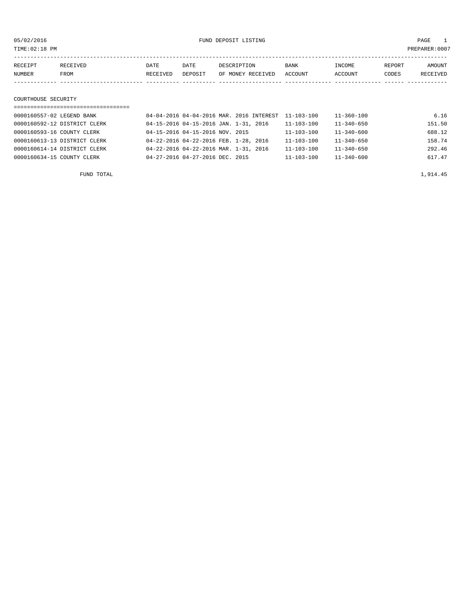05/02/2016 FUND DEPOSIT LISTING PAGE 1

| RECEIVED<br>RECEIPT | DATE     | DATE    | DESCRIPTION       | <b>BANK</b> | INCOME  | REPORT | <b>AMOUNT</b> |
|---------------------|----------|---------|-------------------|-------------|---------|--------|---------------|
| NUMBER<br>FROM      | RECEIVED | DEPOSIT | OF MONEY RECEIVED | ACCOUNT     | ACCOUNT | CODES  | RECEIVED      |
|                     |          |         |                   |             |         |        |               |
|                     |          |         |                   |             |         |        |               |
| COURTHOUSE SECURITY |          |         |                   |             |         |        |               |

| ============================== |                                       |                                                     |                  |                  |        |
|--------------------------------|---------------------------------------|-----------------------------------------------------|------------------|------------------|--------|
| 0000160557-02 LEGEND BANK      |                                       | 04-04-2016 04-04-2016 MAR. 2016 INTEREST 11-103-100 |                  | $11 - 360 - 100$ | 6.16   |
| 0000160592-12 DISTRICT CLERK   | 04-15-2016 04-15-2016 JAN. 1-31, 2016 |                                                     | $11 - 103 - 100$ | $11 - 340 - 650$ | 151.50 |
| 0000160593-16 COUNTY CLERK     | 04-15-2016 04-15-2016 NOV. 2015       |                                                     | $11 - 103 - 100$ | $11 - 340 - 600$ | 688.12 |
| 0000160613-13 DISTRICT CLERK   | 04-22-2016 04-22-2016 FEB. 1-28, 2016 |                                                     | $11 - 103 - 100$ | $11 - 340 - 650$ | 158.74 |
| 0000160614-14 DISTRICT CLERK   | 04-22-2016 04-22-2016 MAR. 1-31, 2016 |                                                     | $11 - 103 - 100$ | 11-340-650       | 292.46 |
| 0000160634-15 COUNTY CLERK     | 04-27-2016 04-27-2016 DEC. 2015       |                                                     | $11 - 103 - 100$ | $11 - 340 - 600$ | 617.47 |

FUND TOTAL  $1,914.45$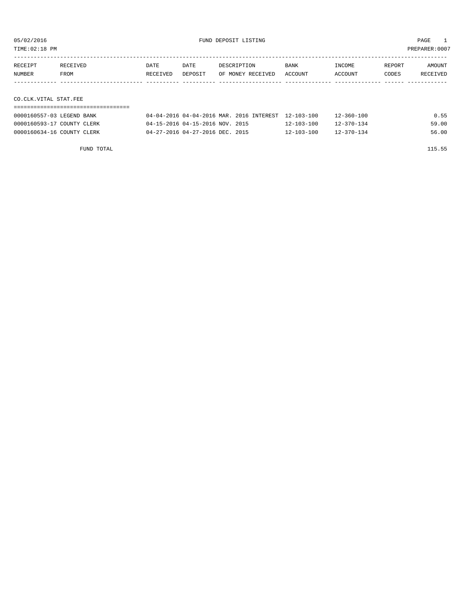TIME:02:18 PM PREPARER:0007

| RECEIPT               | RECEIVED | DATE     | DATE    | DESCRIPTION       | BANK    | INCOME  | REPORT | AMOUNT   |
|-----------------------|----------|----------|---------|-------------------|---------|---------|--------|----------|
| NUMBER                | FROM     | RECEIVED | DEPOSIT | OF MONEY RECEIVED | ACCOUNT | ACCOUNT | CODES  | RECEIVED |
|                       |          |          |         |                   |         |         |        |          |
|                       |          |          |         |                   |         |         |        |          |
| CO.CLK.VITAL STAT.FEE |          |          |         |                   |         |         |        |          |

===================================

| 0000160557-03 LEGEND BANK  | 04-04-2016 04-04-2016 MAR, 2016 INTEREST 12-103-100 |  |                  | $12 - 360 - 100$ | 0.55  |
|----------------------------|-----------------------------------------------------|--|------------------|------------------|-------|
| 0000160593-17 COUNTY CLERK | 04-15-2016 04-15-2016 NOV. 2015                     |  | $12 - 103 - 100$ | $12 - 370 - 134$ | 59.00 |
| 0000160634-16 COUNTY CLERK | $04 - 27 - 2016$ $04 - 27 - 2016$ DEC. 2015         |  | $12 - 103 - 100$ | $12 - 370 - 134$ | 56.00 |

FUND TOTAL 115.55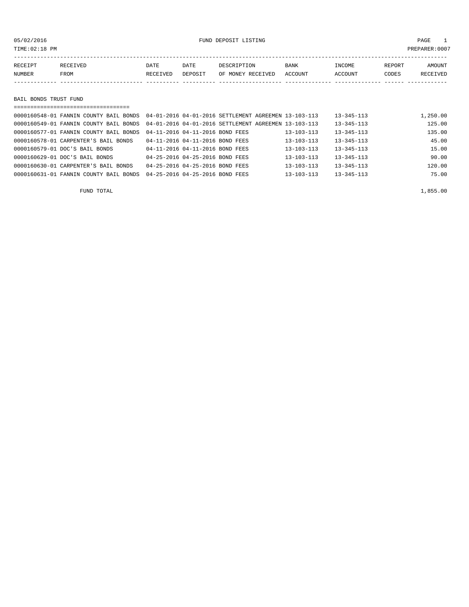TIME:02:18 PM PREPARER:0007

| RECEIPT | <b>RECEIVED</b> | DATE     | DATE    | DESCRIPTION       | <b>BANK</b> | INCOME  | <b>REPORT</b> | AMOUNT          |
|---------|-----------------|----------|---------|-------------------|-------------|---------|---------------|-----------------|
| NUMBER  | FROM            | RECEIVED | DEPOSIT | OF MONEY RECEIVED | ACCOUNT     | ACCOUNT | CODES         | <b>RECEIVED</b> |
|         |                 |          |         |                   |             |         |               |                 |

BAIL BONDS TRUST FUND

| ====================================== |                                                      |                  |                  |          |
|----------------------------------------|------------------------------------------------------|------------------|------------------|----------|
| 0000160548-01 FANNIN COUNTY BAIL BONDS | 04-01-2016 04-01-2016 SETTLEMENT AGREEMEN 13-103-113 |                  | $13 - 345 - 113$ | 1,250.00 |
| 0000160549-01 FANNIN COUNTY BAIL BONDS | 04-01-2016 04-01-2016 SETTLEMENT AGREEMEN 13-103-113 |                  | $13 - 345 - 113$ | 125.00   |
| 0000160577-01 FANNIN COUNTY BAIL BONDS | 04-11-2016 04-11-2016 BOND FEES                      | 13-103-113       | $13 - 345 - 113$ | 135.00   |
| 0000160578-01 CARPENTER'S BAIL BONDS   | 04-11-2016 04-11-2016 BOND FEES                      | $13 - 103 - 113$ | $13 - 345 - 113$ | 45.00    |
| 0000160579-01 DOC'S BAIL BONDS         | 04-11-2016 04-11-2016 BOND FEES                      | $13 - 103 - 113$ | $13 - 345 - 113$ | 15.00    |
| 0000160629-01 DOC'S BAIL BONDS         | 04-25-2016 04-25-2016 BOND FEES                      | $13 - 103 - 113$ | $13 - 345 - 113$ | 90.00    |
| 0000160630-01 CARPENTER'S BAIL BONDS   | 04-25-2016 04-25-2016 BOND FEES                      | $13 - 103 - 113$ | $13 - 345 - 113$ | 120.00   |
| 0000160631-01 FANNIN COUNTY BAIL BONDS | 04-25-2016 04-25-2016 BOND FEES                      | $13 - 103 - 113$ | $13 - 345 - 113$ | 75.00    |

FUND TOTAL  $1,855.00$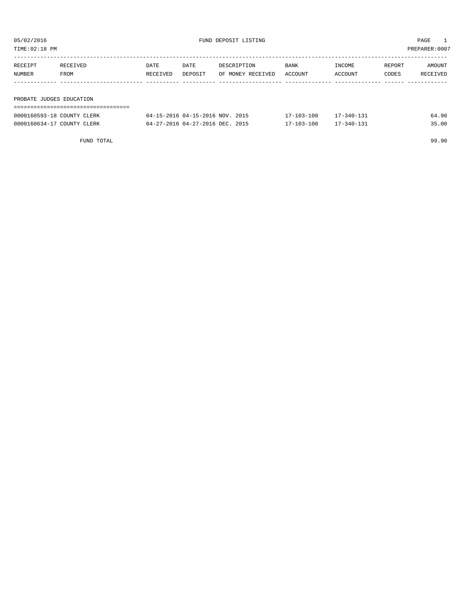| TIME:02:18 PM            |                            |          |                                 |                   |                  |            |        | PREPARER:0007 |
|--------------------------|----------------------------|----------|---------------------------------|-------------------|------------------|------------|--------|---------------|
|                          |                            |          |                                 |                   |                  |            |        |               |
| RECEIPT                  | RECEIVED                   | DATE     | DATE                            | DESCRIPTION       | BANK             | INCOME     | REPORT | AMOUNT        |
| NUMBER                   | FROM                       | RECEIVED | DEPOSIT                         | OF MONEY RECEIVED | ACCOUNT          | ACCOUNT    | CODES  | RECEIVED      |
|                          |                            |          |                                 |                   |                  |            |        |               |
|                          |                            |          |                                 |                   |                  |            |        |               |
| PROBATE JUDGES EDUCATION |                            |          |                                 |                   |                  |            |        |               |
|                          |                            |          |                                 |                   |                  |            |        |               |
|                          | 0000160593-18 COUNTY CLERK |          | 04-15-2016 04-15-2016 NOV. 2015 |                   | $17 - 103 - 100$ | 17-340-131 |        | 64.90         |

0000160634-17 COUNTY CLERK 04-27-2016 04-27-2016 DEC. 2015 17-103-100 17-340-131 35.00

| TOTAL<br>FUND |  | 99.90 |
|---------------|--|-------|
|               |  | .     |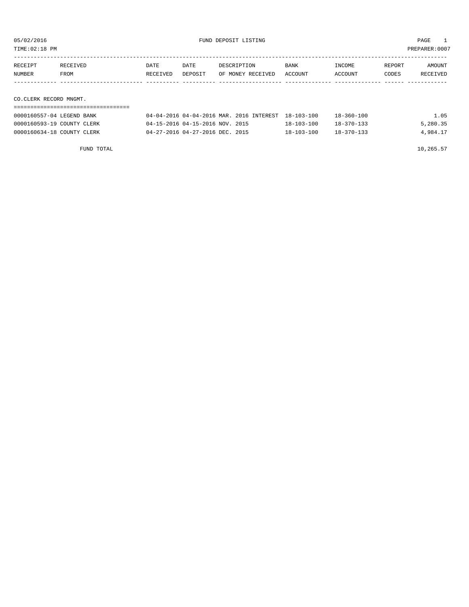| TIME:02:18 PM<br>PREPARER:0007 |          |          |         |                                                     |             |                  |        |          |
|--------------------------------|----------|----------|---------|-----------------------------------------------------|-------------|------------------|--------|----------|
|                                |          |          |         |                                                     |             |                  |        |          |
| RECEIPT                        | RECEIVED | DATE     | DATE    | DESCRIPTION                                         | <b>BANK</b> | INCOME           | REPORT | AMOUNT   |
| NUMBER                         | FROM     | RECEIVED | DEPOSIT | OF MONEY RECEIVED                                   | ACCOUNT     | ACCOUNT          | CODES  | RECEIVED |
|                                |          |          |         |                                                     |             |                  |        |          |
|                                |          |          |         |                                                     |             |                  |        |          |
| CO.CLERK RECORD MNGMT.         |          |          |         |                                                     |             |                  |        |          |
|                                |          |          |         |                                                     |             |                  |        |          |
| 0000160557-04 LEGEND BANK      |          |          |         | 04-04-2016 04-04-2016 MAR. 2016 INTEREST 18-103-100 |             | $18 - 360 - 100$ |        | 1.05     |

0000160593-19 COUNTY CLERK 04-15-2016 04-15-2016 NOV. 2015 18-103-100 18-370-133 5,280.35 0000160634-18 COUNTY CLERK 04-27-2016 04-27-2016 DEC. 2015 18-103-100 18-370-133 4,984.17

FUND TOTAL  $10,265.57$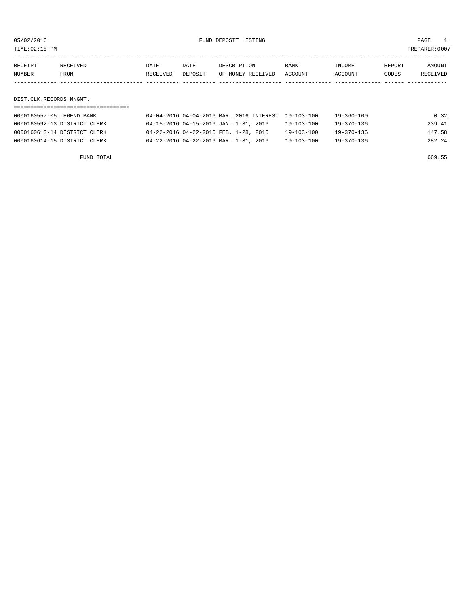05/02/2016 FUND DEPOSIT LISTING PAGE 1

| RECEIPT | RECEIVED | DATE     | DATE    | DESCRIPTION               | <b>BANK</b> | INCOME  | REPORT | AMOUNT   |
|---------|----------|----------|---------|---------------------------|-------------|---------|--------|----------|
| NUMBER  | FROM     | RECEIVED | DEPOSIT | OF MONEY RECEIVED ACCOUNT |             | ACCOUNT | CODES  | RECEIVED |
|         |          |          |         |                           |             |         |        |          |

DIST.CLK.RECORDS MNGMT.

| 0000160557-05 LEGEND BANK    | 04-04-2016 04-04-2016 MAR. 2016 INTEREST 19-103-100 |                  | 19-360-100 | 0.32   |
|------------------------------|-----------------------------------------------------|------------------|------------|--------|
| 0000160592-13 DISTRICT CLERK | 04-15-2016 04-15-2016 JAN. 1-31, 2016               | 19-103-100       | 19-370-136 | 239.41 |
| 0000160613-14 DISTRICT CLERK | 04-22-2016 04-22-2016 FEB. 1-28, 2016               | 19-103-100       | 19-370-136 | 147.58 |
| 0000160614-15 DISTRICT CLERK | 04-22-2016 04-22-2016 MAR. 1-31, 2016               | $19 - 103 - 100$ | 19-370-136 | 282.24 |

FUND TOTAL 669.55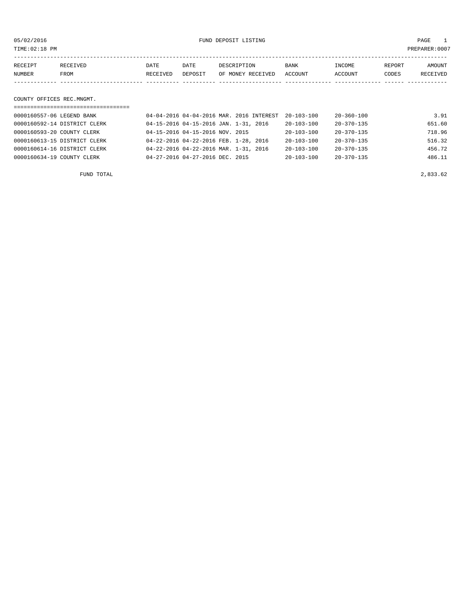05/02/2016 FUND DEPOSIT LISTING PAGE 1

| RECEIPT                   | RECEIVED | DATE     | DATE    | DESCRIPTION       | BANK    | INCOME  | REPORT | AMOUNT   |  |  |
|---------------------------|----------|----------|---------|-------------------|---------|---------|--------|----------|--|--|
| NUMBER                    | FROM     | RECEIVED | DEPOSIT | OF MONEY RECEIVED | ACCOUNT | ACCOUNT | CODES  | RECEIVED |  |  |
|                           |          |          |         |                   |         |         |        |          |  |  |
|                           |          |          |         |                   |         |         |        |          |  |  |
| COUNTY OFFICES REC.MNGMT. |          |          |         |                   |         |         |        |          |  |  |
|                           |          |          |         |                   |         |         |        |          |  |  |

| 0000160557-06 LEGEND BANK    | 04-04-2016 04-04-2016 MAR. 2016 INTEREST | $20 - 103 - 100$ | $20 - 360 - 100$ | 3.91   |
|------------------------------|------------------------------------------|------------------|------------------|--------|
| 0000160592-14 DISTRICT CLERK | 04-15-2016 04-15-2016 JAN. 1-31, 2016    | 20-103-100       | $20 - 370 - 135$ | 651.60 |
| 0000160593-20 COUNTY CLERK   | 04-15-2016 04-15-2016 NOV. 2015          | $20 - 103 - 100$ | $20 - 370 - 135$ | 718.96 |
| 0000160613-15 DISTRICT CLERK | 04-22-2016 04-22-2016 FEB. 1-28, 2016    | $20 - 103 - 100$ | $20 - 370 - 135$ | 516.32 |
| 0000160614-16 DISTRICT CLERK | 04-22-2016 04-22-2016 MAR. 1-31, 2016    | $20 - 103 - 100$ | $20 - 370 - 135$ | 456.72 |
| 0000160634-19 COUNTY CLERK   | 04-27-2016 04-27-2016 DEC. 2015          | $20 - 103 - 100$ | $20 - 370 - 135$ | 486.11 |
|                              |                                          |                  |                  |        |

FUND TOTAL 2,833.62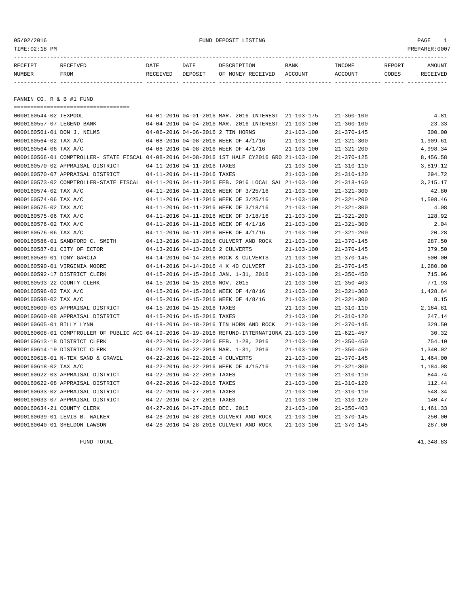### 05/02/2016 FUND DEPOSIT LISTING PAGE 1

| RECEIPT | RECEIVED | DATE     | DATE    | DESCRIPTION       | <b>BANK</b> | <b>INCOME</b> | <b>REPORT</b> | AMOUNT          |
|---------|----------|----------|---------|-------------------|-------------|---------------|---------------|-----------------|
| NUMBER  | FROM     | RECEIVED | DEPOSIT | OF MONEY RECEIVED | ACCOUNT     | ACCOUNT       | CODES         | <b>RECEIVED</b> |
|         |          |          |         |                   |             |               |               |                 |

FANNIN CO. R & B #1 FUND

| =====================================                                                        |                                  |                                                     |                  |                  |          |
|----------------------------------------------------------------------------------------------|----------------------------------|-----------------------------------------------------|------------------|------------------|----------|
| 0000160544-02 TEXPOOL                                                                        |                                  | 04-01-2016 04-01-2016 MAR. 2016 INTEREST 21-103-175 |                  | $21 - 360 - 100$ | 4.81     |
| 0000160557-07 LEGEND BANK                                                                    |                                  | 04-04-2016 04-04-2016 MAR. 2016 INTEREST            | 21-103-100       | $21 - 360 - 100$ | 23.33    |
| 0000160561-01 DON J. NELMS                                                                   |                                  | 04-06-2016 04-06-2016 2 TIN HORNS                   | $21 - 103 - 100$ | $21 - 370 - 145$ | 300.00   |
| 0000160564-02 TAX A/C                                                                        |                                  | 04-08-2016 04-08-2016 WEEK OF 4/1/16                | $21 - 103 - 100$ | $21 - 321 - 300$ | 1,909.61 |
| 0000160564-06 TAX A/C                                                                        |                                  | 04-08-2016 04-08-2016 WEEK OF 4/1/16                | $21 - 103 - 100$ | $21 - 321 - 200$ | 4,998.34 |
| 0000160566-01 COMPTROLLER- STATE FISCAL 04-08-2016 04-08-2016 1ST HALF CY2016 GRO 21-103-100 |                                  |                                                     |                  | $21 - 370 - 125$ | 8,456.58 |
| 0000160570-02 APPRAISAL DISTRICT                                                             | 04-11-2016 04-11-2016 TAXES      |                                                     | $21 - 103 - 100$ | $21 - 310 - 110$ | 3,819.12 |
| 0000160570-07 APPRAISAL DISTRICT                                                             | 04-11-2016 04-11-2016 TAXES      |                                                     | $21 - 103 - 100$ | $21 - 310 - 120$ | 294.72   |
| 0000160573-02 COMPTROLLER-STATE FISCAL 04-11-2016 04-11-2016 FEB. 2016 LOCAL SAL 21-103-100  |                                  |                                                     |                  | $21 - 318 - 160$ | 3,215.17 |
| 0000160574-02 TAX A/C                                                                        |                                  | 04-11-2016 04-11-2016 WEEK OF 3/25/16               | $21 - 103 - 100$ | $21 - 321 - 300$ | 42.80    |
| 0000160574-06 TAX A/C                                                                        |                                  | 04-11-2016 04-11-2016 WEEK OF 3/25/16               | $21 - 103 - 100$ | $21 - 321 - 200$ | 1,598.46 |
| 0000160575-02 TAX A/C                                                                        |                                  | 04-11-2016 04-11-2016 WEEK OF 3/18/16               | $21 - 103 - 100$ | $21 - 321 - 300$ | 4.08     |
| 0000160575-06 TAX A/C                                                                        |                                  | 04-11-2016 04-11-2016 WEEK OF 3/18/16               | $21 - 103 - 100$ | $21 - 321 - 200$ | 128.92   |
| 0000160576-02 TAX A/C                                                                        |                                  | 04-11-2016 04-11-2016 WEEK OF 4/1/16                | $21 - 103 - 100$ | $21 - 321 - 300$ | 2.04     |
| 0000160576-06 TAX A/C                                                                        |                                  | 04-11-2016 04-11-2016 WEEK OF 4/1/16                | $21 - 103 - 100$ | $21 - 321 - 200$ | 20.28    |
| 0000160586-01 SANDFORD C. SMITH                                                              |                                  | 04-13-2016 04-13-2016 CULVERT AND ROCK              | $21 - 103 - 100$ | $21 - 370 - 145$ | 287.50   |
| 0000160587-01 CITY OF ECTOR                                                                  | 04-13-2016 04-13-2016 2 CULVERTS |                                                     | $21 - 103 - 100$ | $21 - 370 - 145$ | 379.50   |
| 0000160589-01 TONY GARCIA                                                                    |                                  | 04-14-2016 04-14-2016 ROCK & CULVERTS               | $21 - 103 - 100$ | $21 - 370 - 145$ | 500.00   |
| 0000160590-01 VIRGINIA MOORE                                                                 |                                  | 04-14-2016 04-14-2016 4 X 40 CULVERT                | $21 - 103 - 100$ | $21 - 370 - 145$ | 1,280.00 |
| 0000160592-17 DISTRICT CLERK                                                                 |                                  | 04-15-2016 04-15-2016 JAN. 1-31, 2016               | $21 - 103 - 100$ | $21 - 350 - 450$ | 715.96   |
| 0000160593-22 COUNTY CLERK                                                                   | 04-15-2016 04-15-2016 NOV. 2015  |                                                     | $21 - 103 - 100$ | $21 - 350 - 403$ | 771.93   |
| 0000160596-02 TAX A/C                                                                        |                                  | 04-15-2016 04-15-2016 WEEK OF 4/8/16                | $21 - 103 - 100$ | $21 - 321 - 300$ | 1,428.64 |
| 0000160598-02 TAX A/C                                                                        |                                  | 04-15-2016 04-15-2016 WEEK OF 4/8/16                | $21 - 103 - 100$ | $21 - 321 - 300$ | 8.15     |
| 0000160600-03 APPRAISAL DISTRICT                                                             | 04-15-2016 04-15-2016 TAXES      |                                                     | $21 - 103 - 100$ | $21 - 310 - 110$ | 2,164.81 |
| 0000160600-08 APPRAISAL DISTRICT                                                             | 04-15-2016 04-15-2016 TAXES      |                                                     | $21 - 103 - 100$ | $21 - 310 - 120$ | 247.14   |
| 0000160605-01 BILLY LYNN                                                                     |                                  | 04-18-2016 04-18-2016 TIN HORN AND ROCK             | $21 - 103 - 100$ | $21 - 370 - 145$ | 329.50   |
| 0000160608-01 COMPTROLLER OF PUBLIC ACC 04-19-2016 04-19-2016 REFUND-INTERNATIONA 21-103-100 |                                  |                                                     |                  | $21 - 621 - 457$ | 30.32    |
| 0000160613-18 DISTRICT CLERK                                                                 |                                  | 04-22-2016 04-22-2016 FEB. 1-28, 2016               | $21 - 103 - 100$ | $21 - 350 - 450$ | 754.10   |
| 0000160614-19 DISTRICT CLERK                                                                 |                                  | 04-22-2016 04-22-2016 MAR. 1-31, 2016               | $21 - 103 - 100$ | $21 - 350 - 450$ | 1,340.02 |
| 0000160616-01 N-TEX SAND & GRAVEL                                                            | 04-22-2016 04-22-2016 4 CULVERTS |                                                     | $21 - 103 - 100$ | $21 - 370 - 145$ | 1,464.00 |
| 0000160618-02 TAX A/C                                                                        |                                  | 04-22-2016 04-22-2016 WEEK OF 4/15/16               | $21 - 103 - 100$ | $21 - 321 - 300$ | 1,184.08 |
| 0000160622-03 APPRAISAL DISTRICT                                                             | 04-22-2016 04-22-2016 TAXES      |                                                     | $21 - 103 - 100$ | $21 - 310 - 110$ | 844.74   |
| 0000160622-08 APPRAISAL DISTRICT                                                             | 04-22-2016 04-22-2016 TAXES      |                                                     | $21 - 103 - 100$ | $21 - 310 - 120$ | 112.44   |
| 0000160633-02 APPRAISAL DISTRICT                                                             | 04-27-2016 04-27-2016 TAXES      |                                                     | $21 - 103 - 100$ | $21 - 310 - 110$ | 548.34   |
| 0000160633-07 APPRAISAL DISTRICT                                                             | 04-27-2016 04-27-2016 TAXES      |                                                     | $21 - 103 - 100$ | $21 - 310 - 120$ | 140.47   |
| 0000160634-21 COUNTY CLERK                                                                   | 04-27-2016 04-27-2016 DEC. 2015  |                                                     | $21 - 103 - 100$ | $21 - 350 - 403$ | 1,461.33 |
| 0000160639-01 LEVIS B. WALKER                                                                |                                  | 04-28-2016 04-28-2016 CULVERT AND ROCK              | $21 - 103 - 100$ | $21 - 370 - 145$ | 250.00   |
| 0000160640-01 SHELDON LAWSON                                                                 |                                  | 04-28-2016 04-28-2016 CULVERT AND ROCK              | $21 - 103 - 100$ | $21 - 370 - 145$ | 287.60   |

FUND TOTAL  $41,348.83$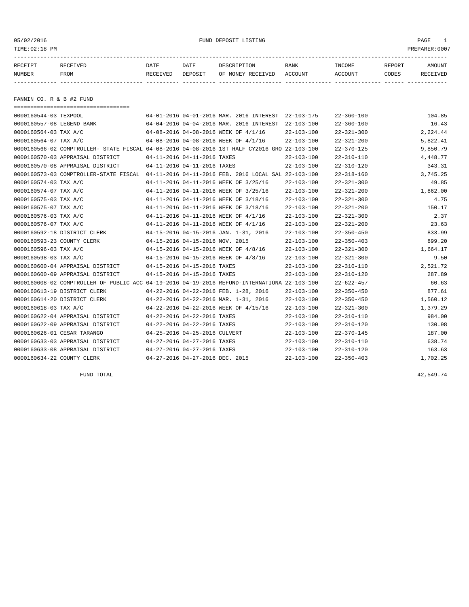05/02/2016 FUND DEPOSIT LISTING PAGE 1

| RECEIPT | <b>RECEIVED</b> | DATE            | DATE    | DESCRIPTION       | <b>BANK</b> | INCOME  | REPORT | AMOUNT   |
|---------|-----------------|-----------------|---------|-------------------|-------------|---------|--------|----------|
| NUMBER  | FROM            | <b>RECEIVED</b> | DEPOSIT | OF MONEY RECEIVED | ACCOUNT     | ACCOUNT | CODES  | RECEIVED |
|         |                 |                 |         |                   |             |         |        |          |

FANNIN CO. R & B #2 FUND

| ======================================                                                       |                                 |                                 |                                                      |                  |                  |          |
|----------------------------------------------------------------------------------------------|---------------------------------|---------------------------------|------------------------------------------------------|------------------|------------------|----------|
| 0000160544-03 TEXPOOL                                                                        |                                 |                                 | 04-01-2016 04-01-2016 MAR. 2016 INTEREST 22-103-175  |                  | $22 - 360 - 100$ | 104.85   |
| 0000160557-08 LEGEND BANK                                                                    |                                 |                                 | 04-04-2016 04-04-2016 MAR. 2016 INTEREST             | 22-103-100       | $22 - 360 - 100$ | 16.43    |
| 0000160564-03 TAX A/C                                                                        |                                 |                                 | 04-08-2016 04-08-2016 WEEK OF 4/1/16                 | $22 - 103 - 100$ | $22 - 321 - 300$ | 2,224.44 |
| 0000160564-07 TAX A/C                                                                        |                                 |                                 | 04-08-2016 04-08-2016 WEEK OF 4/1/16                 | $22 - 103 - 100$ | $22 - 321 - 200$ | 5,822.41 |
| 0000160566-02 COMPTROLLER- STATE FISCAL 04-08-2016 04-08-2016 1ST HALF CY2016 GRO 22-103-100 |                                 |                                 |                                                      |                  | $22 - 370 - 125$ | 9,850.79 |
| 0000160570-03 APPRAISAL DISTRICT                                                             |                                 | 04-11-2016 04-11-2016 TAXES     |                                                      | $22 - 103 - 100$ | $22 - 310 - 110$ | 4,448.77 |
| 0000160570-08 APPRAISAL DISTRICT                                                             |                                 | 04-11-2016 04-11-2016 TAXES     |                                                      | $22 - 103 - 100$ | $22 - 310 - 120$ | 343.31   |
| 0000160573-03 COMPTROLLER-STATE FISCAL                                                       |                                 |                                 | 04-11-2016 04-11-2016 FEB. 2016 LOCAL SAL 22-103-100 |                  | $22 - 318 - 160$ | 3,745.25 |
| 0000160574-03 TAX A/C                                                                        |                                 |                                 | 04-11-2016 04-11-2016 WEEK OF 3/25/16                | $22 - 103 - 100$ | $22 - 321 - 300$ | 49.85    |
| 0000160574-07 TAX A/C                                                                        |                                 |                                 | 04-11-2016 04-11-2016 WEEK OF 3/25/16                | $22 - 103 - 100$ | $22 - 321 - 200$ | 1,862.00 |
| 0000160575-03 TAX A/C                                                                        |                                 |                                 | 04-11-2016 04-11-2016 WEEK OF 3/18/16                | $22 - 103 - 100$ | $22 - 321 - 300$ | 4.75     |
| 0000160575-07 TAX A/C                                                                        |                                 |                                 | 04-11-2016 04-11-2016 WEEK OF 3/18/16                | $22 - 103 - 100$ | $22 - 321 - 200$ | 150.17   |
| 0000160576-03 TAX A/C                                                                        |                                 |                                 | 04-11-2016 04-11-2016 WEEK OF 4/1/16                 | $22 - 103 - 100$ | $22 - 321 - 300$ | 2.37     |
| 0000160576-07 TAX A/C                                                                        |                                 |                                 | 04-11-2016 04-11-2016 WEEK OF 4/1/16                 | $22 - 103 - 100$ | $22 - 321 - 200$ | 23.63    |
| 0000160592-18 DISTRICT CLERK                                                                 |                                 |                                 | 04-15-2016 04-15-2016 JAN. 1-31, 2016                | $22 - 103 - 100$ | $22 - 350 - 450$ | 833.99   |
| 0000160593-23 COUNTY CLERK                                                                   | 04-15-2016 04-15-2016 NOV. 2015 |                                 |                                                      | $22 - 103 - 100$ | $22 - 350 - 403$ | 899.20   |
| 0000160596-03 TAX A/C                                                                        |                                 |                                 | 04-15-2016 04-15-2016 WEEK OF 4/8/16                 | $22 - 103 - 100$ | $22 - 321 - 300$ | 1,664.17 |
| 0000160598-03 TAX A/C                                                                        |                                 |                                 | 04-15-2016 04-15-2016 WEEK OF 4/8/16                 | $22 - 103 - 100$ | $22 - 321 - 300$ | 9.50     |
| 0000160600-04 APPRAISAL DISTRICT                                                             | 04-15-2016 04-15-2016 TAXES     |                                 |                                                      | $22 - 103 - 100$ | $22 - 310 - 110$ | 2,521.72 |
| 0000160600-09 APPRAISAL DISTRICT                                                             |                                 | 04-15-2016 04-15-2016 TAXES     |                                                      | $22 - 103 - 100$ | $22 - 310 - 120$ | 287.89   |
| 0000160608-02 COMPTROLLER OF PUBLIC ACC 04-19-2016 04-19-2016 REFUND-INTERNATIONA 22-103-100 |                                 |                                 |                                                      |                  | $22 - 622 - 457$ | 60.63    |
| 0000160613-19 DISTRICT CLERK                                                                 |                                 |                                 | 04-22-2016 04-22-2016 FEB. 1-28, 2016                | $22 - 103 - 100$ | $22 - 350 - 450$ | 877.61   |
| 0000160614-20 DISTRICT CLERK                                                                 |                                 |                                 | 04-22-2016 04-22-2016 MAR. 1-31, 2016                | $22 - 103 - 100$ | $22 - 350 - 450$ | 1,560.12 |
| 0000160618-03 TAX A/C                                                                        |                                 |                                 | 04-22-2016 04-22-2016 WEEK OF 4/15/16                | $22 - 103 - 100$ | $22 - 321 - 300$ | 1,379.29 |
| 0000160622-04 APPRAISAL DISTRICT                                                             |                                 | 04-22-2016 04-22-2016 TAXES     |                                                      | $22 - 103 - 100$ | $22 - 310 - 110$ | 984.00   |
| 0000160622-09 APPRAISAL DISTRICT                                                             |                                 | 04-22-2016 04-22-2016 TAXES     |                                                      | $22 - 103 - 100$ | $22 - 310 - 120$ | 130.98   |
| 0000160626-01 CESAR TARANGO                                                                  |                                 | 04-25-2016 04-25-2016 CULVERT   |                                                      | $22 - 103 - 100$ | $22 - 370 - 145$ | 187.00   |
| 0000160633-03 APPRAISAL DISTRICT                                                             |                                 | 04-27-2016 04-27-2016 TAXES     |                                                      | $22 - 103 - 100$ | $22 - 310 - 110$ | 638.74   |
| 0000160633-08 APPRAISAL DISTRICT                                                             |                                 | 04-27-2016 04-27-2016 TAXES     |                                                      | $22 - 103 - 100$ | $22 - 310 - 120$ | 163.63   |
| 0000160634-22 COUNTY CLERK                                                                   |                                 | 04-27-2016 04-27-2016 DEC. 2015 |                                                      | $22 - 103 - 100$ | $22 - 350 - 403$ | 1,702.25 |

FUND TOTAL  $42,549.74$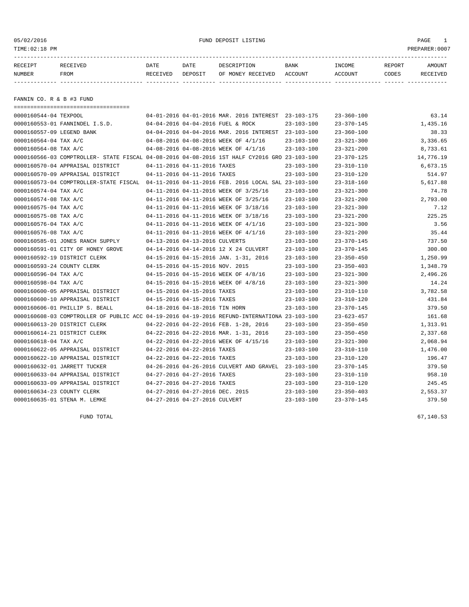05/02/2016 FUND DEPOSIT LISTING PAGE 1

| RECEIPT | <b>RECEIVED</b> | DATE            | DATE    | DESCRIPTION       | <b>BANK</b> | INCOME  | REPORT | AMOUNT   |
|---------|-----------------|-----------------|---------|-------------------|-------------|---------|--------|----------|
| NUMBER  | FROM            | <b>RECEIVED</b> | DEPOSIT | OF MONEY RECEIVED | ACCOUNT     | ACCOUNT | CODES  | RECEIVED |
|         |                 |                 |         |                   |             |         |        |          |

FANNIN CO. R & B #3 FUND

| =====================================                                                        |                                 |                                                     |                  |                  |           |
|----------------------------------------------------------------------------------------------|---------------------------------|-----------------------------------------------------|------------------|------------------|-----------|
| 0000160544-04 TEXPOOL                                                                        |                                 | 04-01-2016 04-01-2016 MAR. 2016 INTEREST 23-103-175 |                  | $23 - 360 - 100$ | 63.14     |
| 0000160553-01 FANNINDEL I.S.D.                                                               |                                 | 04-04-2016 04-04-2016 FUEL & ROCK                   | $23 - 103 - 100$ | $23 - 370 - 145$ | 1,435.16  |
| 0000160557-09 LEGEND BANK                                                                    |                                 | 04-04-2016 04-04-2016 MAR. 2016 INTEREST 23-103-100 |                  | $23 - 360 - 100$ | 38.33     |
| 0000160564-04 TAX A/C                                                                        |                                 | 04-08-2016 04-08-2016 WEEK OF 4/1/16                | $23 - 103 - 100$ | $23 - 321 - 300$ | 3,336.65  |
| 0000160564-08 TAX A/C                                                                        |                                 | 04-08-2016 04-08-2016 WEEK OF 4/1/16                | $23 - 103 - 100$ | $23 - 321 - 200$ | 8,733.61  |
| 0000160566-03 COMPTROLLER- STATE FISCAL 04-08-2016 04-08-2016 1ST HALF CY2016 GRO 23-103-100 |                                 |                                                     |                  | $23 - 370 - 125$ | 14,776.19 |
| 0000160570-04 APPRAISAL DISTRICT                                                             | 04-11-2016 04-11-2016 TAXES     |                                                     | $23 - 103 - 100$ | $23 - 310 - 110$ | 6,673.15  |
| 0000160570-09 APPRAISAL DISTRICT                                                             | 04-11-2016 04-11-2016 TAXES     |                                                     | $23 - 103 - 100$ | $23 - 310 - 120$ | 514.97    |
| 0000160573-04 COMPTROLLER-STATE FISCAL 04-11-2016 04-11-2016 FEB. 2016 LOCAL SAL 23-103-100  |                                 |                                                     |                  | $23 - 318 - 160$ | 5,617.88  |
| 0000160574-04 TAX A/C                                                                        |                                 | 04-11-2016 04-11-2016 WEEK OF 3/25/16               | $23 - 103 - 100$ | $23 - 321 - 300$ | 74.78     |
| 0000160574-08 TAX A/C                                                                        |                                 | 04-11-2016 04-11-2016 WEEK OF 3/25/16               | $23 - 103 - 100$ | $23 - 321 - 200$ | 2,793.00  |
| 0000160575-04 TAX A/C                                                                        |                                 | 04-11-2016 04-11-2016 WEEK OF 3/18/16               | $23 - 103 - 100$ | $23 - 321 - 300$ | 7.12      |
| 0000160575-08 TAX A/C                                                                        |                                 | 04-11-2016 04-11-2016 WEEK OF 3/18/16               | 23-103-100       | $23 - 321 - 200$ | 225.25    |
| 0000160576-04 TAX A/C                                                                        |                                 | 04-11-2016 04-11-2016 WEEK OF 4/1/16                | $23 - 103 - 100$ | $23 - 321 - 300$ | 3.56      |
| 0000160576-08 TAX A/C                                                                        |                                 | 04-11-2016 04-11-2016 WEEK OF 4/1/16                | $23 - 103 - 100$ | $23 - 321 - 200$ | 35.44     |
| 0000160585-01 JONES RANCH SUPPLY                                                             | 04-13-2016 04-13-2016 CULVERTS  |                                                     | $23 - 103 - 100$ | $23 - 370 - 145$ | 737.50    |
| 0000160591-01 CITY OF HONEY GROVE                                                            |                                 | 04-14-2016 04-14-2016 12 X 24 CULVERT               | $23 - 103 - 100$ | $23 - 370 - 145$ | 300.00    |
| 0000160592-19 DISTRICT CLERK                                                                 |                                 | 04-15-2016 04-15-2016 JAN. 1-31, 2016               | $23 - 103 - 100$ | $23 - 350 - 450$ | 1,250.99  |
| 0000160593-24 COUNTY CLERK                                                                   | 04-15-2016 04-15-2016 NOV. 2015 |                                                     | $23 - 103 - 100$ | $23 - 350 - 403$ | 1,348.79  |
| 0000160596-04 TAX A/C                                                                        |                                 | 04-15-2016 04-15-2016 WEEK OF 4/8/16                | $23 - 103 - 100$ | $23 - 321 - 300$ | 2,496.26  |
| 0000160598-04 TAX A/C                                                                        |                                 | 04-15-2016 04-15-2016 WEEK OF 4/8/16                | 23-103-100       | $23 - 321 - 300$ | 14.24     |
| 0000160600-05 APPRAISAL DISTRICT                                                             | 04-15-2016 04-15-2016 TAXES     |                                                     | $23 - 103 - 100$ | $23 - 310 - 110$ | 3,782.58  |
| 0000160600-10 APPRAISAL DISTRICT                                                             | 04-15-2016 04-15-2016 TAXES     |                                                     | $23 - 103 - 100$ | $23 - 310 - 120$ | 431.84    |
| 0000160606-01 PHILLIP S. BEALL                                                               | 04-18-2016 04-18-2016 TIN HORN  |                                                     | $23 - 103 - 100$ | $23 - 370 - 145$ | 379.50    |
| 0000160608-03 COMPTROLLER OF PUBLIC ACC 04-19-2016 04-19-2016 REFUND-INTERNATIONA 23-103-100 |                                 |                                                     |                  | $23 - 623 - 457$ | 161.68    |
| 0000160613-20 DISTRICT CLERK                                                                 |                                 | 04-22-2016 04-22-2016 FEB. 1-28, 2016               | $23 - 103 - 100$ | $23 - 350 - 450$ | 1,313.91  |
| 0000160614-21 DISTRICT CLERK                                                                 |                                 | 04-22-2016 04-22-2016 MAR. 1-31, 2016               | $23 - 103 - 100$ | $23 - 350 - 450$ | 2,337.68  |
| 0000160618-04 TAX A/C                                                                        |                                 | 04-22-2016 04-22-2016 WEEK OF 4/15/16               | 23-103-100       | $23 - 321 - 300$ | 2,068.94  |
| 0000160622-05 APPRAISAL DISTRICT                                                             | 04-22-2016 04-22-2016 TAXES     |                                                     | 23-103-100       | $23 - 310 - 110$ | 1,476.00  |
| 0000160622-10 APPRAISAL DISTRICT                                                             | 04-22-2016 04-22-2016 TAXES     |                                                     | $23 - 103 - 100$ | $23 - 310 - 120$ | 196.47    |
| 0000160632-01 JARRETT TUCKER                                                                 |                                 | 04-26-2016 04-26-2016 CULVERT AND GRAVEL 23-103-100 |                  | $23 - 370 - 145$ | 379.50    |
| 0000160633-04 APPRAISAL DISTRICT                                                             | 04-27-2016 04-27-2016 TAXES     |                                                     | $23 - 103 - 100$ | $23 - 310 - 110$ | 958.10    |
| 0000160633-09 APPRAISAL DISTRICT                                                             | 04-27-2016 04-27-2016 TAXES     |                                                     | $23 - 103 - 100$ | $23 - 310 - 120$ | 245.45    |
| 0000160634-23 COUNTY CLERK                                                                   | 04-27-2016 04-27-2016 DEC. 2015 |                                                     | $23 - 103 - 100$ | $23 - 350 - 403$ | 2,553.37  |
| 0000160635-01 STENA M. LEMKE                                                                 | 04-27-2016 04-27-2016 CULVERT   |                                                     | $23 - 103 - 100$ | $23 - 370 - 145$ | 379.50    |

FUND TOTAL  $67,140.53$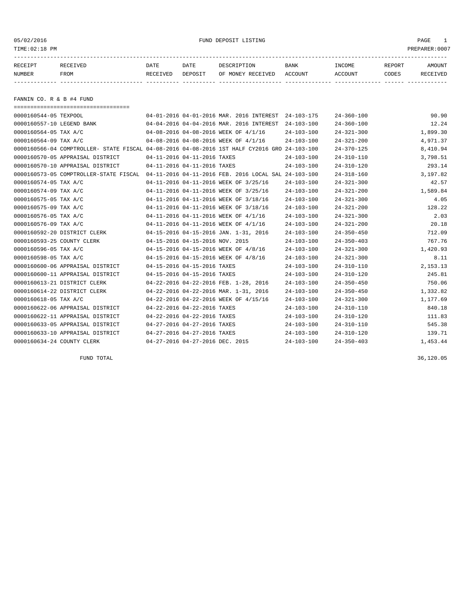# 05/02/2016 FUND DEPOSIT LISTING PAGE 1

| RECEIPT | <b>RECEIVED</b> | DATE            | DATE    | DESCRIPTION       | <b>BANK</b> | <b>INCOME</b> | REPORT | AMOUNT          |
|---------|-----------------|-----------------|---------|-------------------|-------------|---------------|--------|-----------------|
| NUMBER  | FROM            | <b>RECEIVED</b> | DEPOSIT | OF MONEY RECEIVED | ACCOUNT     | ACCOUNT       | CODES  | <b>RECEIVED</b> |
|         |                 |                 |         |                   |             |               |        |                 |

FANNIN CO. R & B #4 FUND

| -------------------------------------- |                                                                                              |                  |                  |          |
|----------------------------------------|----------------------------------------------------------------------------------------------|------------------|------------------|----------|
| 0000160544-05 TEXPOOL                  | 04-01-2016 04-01-2016 MAR. 2016 INTEREST 24-103-175                                          |                  | $24 - 360 - 100$ | 90.90    |
| 0000160557-10 LEGEND BANK              | 04-04-2016 04-04-2016 MAR. 2016 INTEREST                                                     | $24 - 103 - 100$ | $24 - 360 - 100$ | 12.24    |
| 0000160564-05 TAX A/C                  | 04-08-2016 04-08-2016 WEEK OF 4/1/16                                                         | $24 - 103 - 100$ | $24 - 321 - 300$ | 1,899.30 |
| 0000160564-09 TAX A/C                  | 04-08-2016 04-08-2016 WEEK OF 4/1/16                                                         | $24 - 103 - 100$ | $24 - 321 - 200$ | 4,971.37 |
|                                        | 0000160566-04 COMPTROLLER- STATE FISCAL 04-08-2016 04-08-2016 1ST HALF CY2016 GRO 24-103-100 |                  | $24 - 370 - 125$ | 8,410.94 |
| 0000160570-05 APPRAISAL DISTRICT       | 04-11-2016 04-11-2016 TAXES                                                                  | $24 - 103 - 100$ | $24 - 310 - 110$ | 3,798.51 |
| 0000160570-10 APPRAISAL DISTRICT       | 04-11-2016 04-11-2016 TAXES                                                                  | $24 - 103 - 100$ | $24 - 310 - 120$ | 293.14   |
|                                        | 0000160573-05 COMPTROLLER-STATE FISCAL 04-11-2016 04-11-2016 FEB. 2016 LOCAL SAL 24-103-100  |                  | $24 - 318 - 160$ | 3,197.82 |
| 0000160574-05 TAX A/C                  | 04-11-2016 04-11-2016 WEEK OF 3/25/16                                                        | $24 - 103 - 100$ | $24 - 321 - 300$ | 42.57    |
| 0000160574-09 TAX A/C                  | 04-11-2016 04-11-2016 WEEK OF 3/25/16                                                        | $24 - 103 - 100$ | $24 - 321 - 200$ | 1,589.84 |
| 0000160575-05 TAX A/C                  | 04-11-2016 04-11-2016 WEEK OF 3/18/16                                                        | $24 - 103 - 100$ | $24 - 321 - 300$ | 4.05     |
| 0000160575-09 TAX A/C                  | 04-11-2016 04-11-2016 WEEK OF 3/18/16                                                        | $24 - 103 - 100$ | $24 - 321 - 200$ | 128.22   |
| 0000160576-05 TAX A/C                  | 04-11-2016 04-11-2016 WEEK OF 4/1/16                                                         | $24 - 103 - 100$ | $24 - 321 - 300$ | 2.03     |
| 0000160576-09 TAX A/C                  | 04-11-2016 04-11-2016 WEEK OF 4/1/16                                                         | $24 - 103 - 100$ | $24 - 321 - 200$ | 20.18    |
| 0000160592-20 DISTRICT CLERK           | 04-15-2016 04-15-2016 JAN. 1-31, 2016                                                        | $24 - 103 - 100$ | $24 - 350 - 450$ | 712.09   |
| 0000160593-25 COUNTY CLERK             | 04-15-2016 04-15-2016 NOV. 2015                                                              | $24 - 103 - 100$ | $24 - 350 - 403$ | 767.76   |
| 0000160596-05 TAX A/C                  | 04-15-2016 04-15-2016 WEEK OF 4/8/16                                                         | $24 - 103 - 100$ | $24 - 321 - 300$ | 1,420.93 |
| 0000160598-05 TAX A/C                  | 04-15-2016 04-15-2016 WEEK OF 4/8/16                                                         | $24 - 103 - 100$ | $24 - 321 - 300$ | 8.11     |
| 0000160600-06 APPRAISAL DISTRICT       | 04-15-2016 04-15-2016 TAXES                                                                  | $24 - 103 - 100$ | $24 - 310 - 110$ | 2,153.13 |
| 0000160600-11 APPRAISAL DISTRICT       | 04-15-2016 04-15-2016 TAXES                                                                  | $24 - 103 - 100$ | $24 - 310 - 120$ | 245.81   |
| 0000160613-21 DISTRICT CLERK           | 04-22-2016 04-22-2016 FEB. 1-28, 2016                                                        | $24 - 103 - 100$ | $24 - 350 - 450$ | 750.06   |
| 0000160614-22 DISTRICT CLERK           | 04-22-2016 04-22-2016 MAR. 1-31, 2016                                                        | $24 - 103 - 100$ | $24 - 350 - 450$ | 1,332.82 |
| 0000160618-05 TAX A/C                  | 04-22-2016 04-22-2016 WEEK OF 4/15/16                                                        | $24 - 103 - 100$ | $24 - 321 - 300$ | 1,177.69 |
| 0000160622-06 APPRAISAL DISTRICT       | 04-22-2016 04-22-2016 TAXES                                                                  | $24 - 103 - 100$ | $24 - 310 - 110$ | 840.18   |
| 0000160622-11 APPRAISAL DISTRICT       | 04-22-2016 04-22-2016 TAXES                                                                  | $24 - 103 - 100$ | $24 - 310 - 120$ | 111.83   |
| 0000160633-05 APPRAISAL DISTRICT       | 04-27-2016 04-27-2016 TAXES                                                                  | $24 - 103 - 100$ | $24 - 310 - 110$ | 545.38   |
| 0000160633-10 APPRAISAL DISTRICT       | 04-27-2016 04-27-2016 TAXES                                                                  | $24 - 103 - 100$ | $24 - 310 - 120$ | 139.71   |
| 0000160634-24 COUNTY CLERK             | 04-27-2016 04-27-2016 DEC. 2015                                                              | $24 - 103 - 100$ | $24 - 350 - 403$ | 1,453.44 |

FUND TOTAL 36,120.05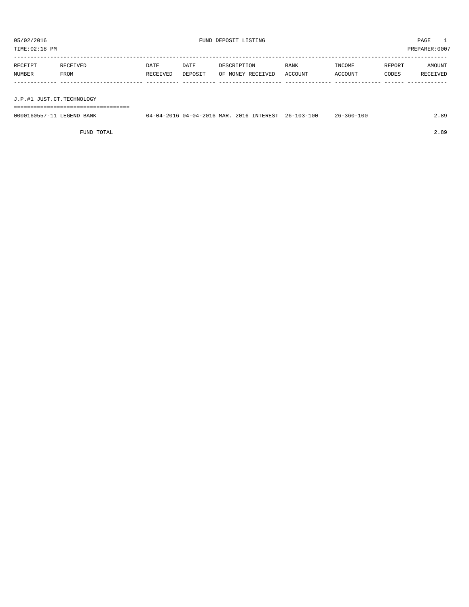TIME:02:18 PM PREPARER:0007 ----------------------------------------------------------------------------------------------------------------------------------- RECEIPT RECEIVED DATE DATE DESCRIPTION BANK INCOME REPORT AMOUNT NUMBER FROM RECEIVED DEPOSIT OF MONEY RECEIVED ACCOUNT ACCOUNT CODES RECEIVED ------------- ------------------------- ---------- ---------- ------------------- -------------- -------------- ------ ------------

J.P.#1 JUST.CT.TECHNOLOGY

===================================

| 0000160557-11 LEGEND BANK | 04-04-2016 04-04-2016 MAR. 2016 INTEREST 26-103-100 |  | 26-360-100 | 89 |
|---------------------------|-----------------------------------------------------|--|------------|----|
|                           |                                                     |  |            |    |

FUND TOTAL 2.89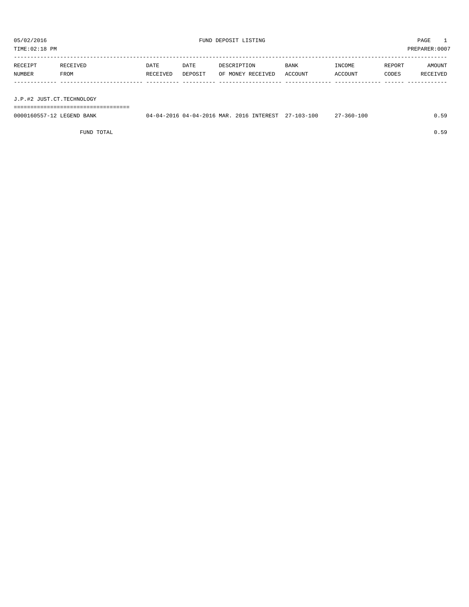| PREPARER: 0007<br>TIME:02:18 PM |                           |                  |                 |                                  |                        |                   |                 |                           |  |  |  |
|---------------------------------|---------------------------|------------------|-----------------|----------------------------------|------------------------|-------------------|-----------------|---------------------------|--|--|--|
| RECEIPT<br>NUMBER               | RECEIVED<br>FROM          | DATE<br>RECEIVED | DATE<br>DEPOSIT | DESCRIPTION<br>OF MONEY RECEIVED | <b>BANK</b><br>ACCOUNT | INCOME<br>ACCOUNT | REPORT<br>CODES | <b>AMOUNT</b><br>RECEIVED |  |  |  |
|                                 | J.P.#2 JUST.CT.TECHNOLOGY |                  |                 |                                  |                        |                   |                 |                           |  |  |  |

===================================

| 0000160557-12 LEGEND BANK | 04-04-2016 04-04-2016 MAR. 2016 INTEREST 27-103-100 |  | $7 - 360 - 100$ | 59 |
|---------------------------|-----------------------------------------------------|--|-----------------|----|
|                           |                                                     |  |                 |    |

FUND TOTAL 0.59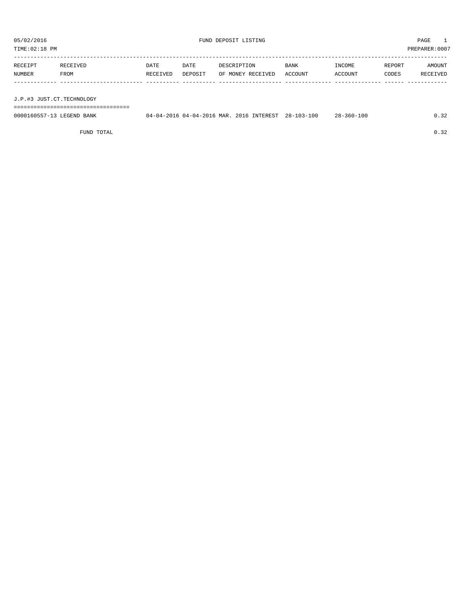| PREPARER: 0007<br>TIME:02:18 PM |                           |                  |                 |                                  |                 |                   |                 |                           |  |  |  |
|---------------------------------|---------------------------|------------------|-----------------|----------------------------------|-----------------|-------------------|-----------------|---------------------------|--|--|--|
| RECEIPT<br>NUMBER               | RECEIVED<br>FROM          | DATE<br>RECEIVED | DATE<br>DEPOSIT | DESCRIPTION<br>OF MONEY RECEIVED | BANK<br>ACCOUNT | INCOME<br>ACCOUNT | REPORT<br>CODES | <b>AMOUNT</b><br>RECEIVED |  |  |  |
|                                 | J.P.#3 JUST.CT.TECHNOLOGY |                  |                 |                                  |                 |                   |                 |                           |  |  |  |

===================================

| 0000160557-13 LEGEND BANK | $04 - 04 - 2016$ $04 - 04 - 2016$ MAR. | 2016 INTEREST | $28 - 103 - 100$ | -100<br>$28 - 360 - 3$ |  |
|---------------------------|----------------------------------------|---------------|------------------|------------------------|--|
|                           |                                        |               |                  |                        |  |

FUND TOTAL  $0.32$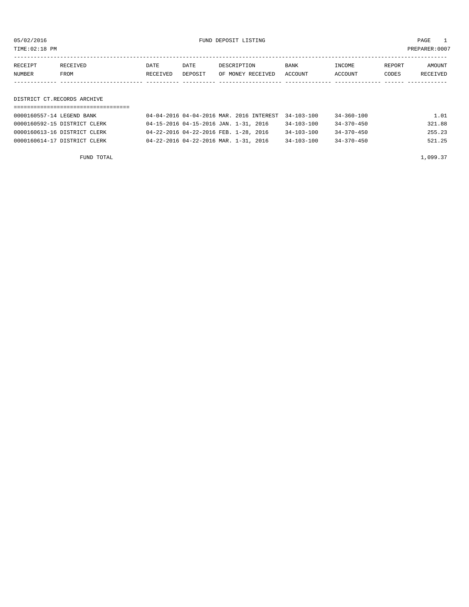05/02/2016 FUND DEPOSIT LISTING PAGE 1

| RECEIPT | <b>RECEIVED</b> | DATE            | DATE    | DESCRIPTION       | BANK    | <b>TNCOME</b> | REPORT | AMOUNT          |
|---------|-----------------|-----------------|---------|-------------------|---------|---------------|--------|-----------------|
| NUMBER  | FROM            | <b>RECEIVED</b> | DEPOSIT | OF MONEY RECEIVED | ACCOUNT | ACCOUNT       | CODES  | <b>RECEIVED</b> |
|         |                 |                 |         |                   |         |               |        |                 |

DISTRICT CT.RECORDS ARCHIVE

| 0000160557-14 LEGEND BANK    | 04-04-2016 04-04-2016 MAR. 2016 INTEREST 34-103-100 |                  | 34-360-100 | 1.01   |
|------------------------------|-----------------------------------------------------|------------------|------------|--------|
| 0000160592-15 DISTRICT CLERK | 04-15-2016 04-15-2016 JAN. 1-31, 2016               | $34 - 103 - 100$ | 34-370-450 | 321.88 |
| 0000160613-16 DISTRICT CLERK | 04-22-2016 04-22-2016 FEB. 1-28, 2016               | $34 - 103 - 100$ | 34-370-450 | 255.23 |
| 0000160614-17 DISTRICT CLERK | 04-22-2016 04-22-2016 MAR. 1-31, 2016               | $34 - 103 - 100$ | 34-370-450 | 521.25 |

FUND TOTAL  $1,099.37$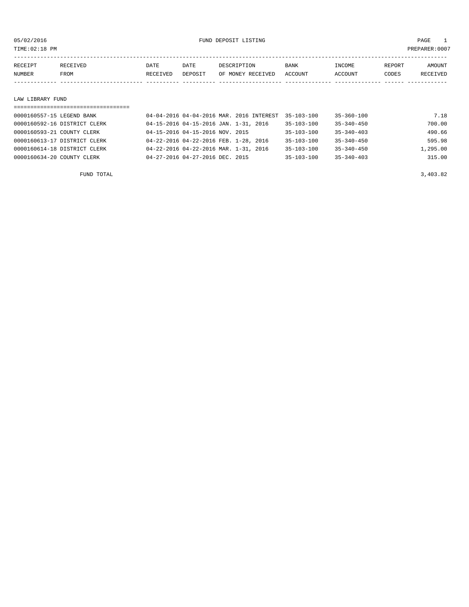05/02/2016 FUND DEPOSIT LISTING PAGE 1

| RECEIPT       | <b>RECEIVED</b> | DATE     | DATE    | DESCRIPTION       | <b>BANK</b> | INCOME  | REPORT | AMOUNT |
|---------------|-----------------|----------|---------|-------------------|-------------|---------|--------|--------|
| <b>NUMBER</b> | <b>FROM</b>     | RECEIVED | DEPOSIT | OF MONEY RECEIVED | ACCOUNT     | ACCOUNT | CODES  | CEIVED |
|               |                 |          |         |                   |             |         |        |        |

#### LAW LIBRARY FUND

| ------------------------------- |                                          |                  |                  |          |
|---------------------------------|------------------------------------------|------------------|------------------|----------|
| 0000160557-15 LEGEND BANK       | 04-04-2016 04-04-2016 MAR, 2016 INTEREST | 35-103-100       | $35 - 360 - 100$ | 7.18     |
| 0000160592-16 DISTRICT CLERK    | 04-15-2016 04-15-2016 JAN. 1-31, 2016    | $35 - 103 - 100$ | $35 - 340 - 450$ | 700.00   |
| 0000160593-21 COUNTY CLERK      | 04-15-2016 04-15-2016 NOV. 2015          | $35 - 103 - 100$ | $35 - 340 - 403$ | 490.66   |
| 0000160613-17 DISTRICT CLERK    | 04-22-2016 04-22-2016 FEB. 1-28, 2016    | $35 - 103 - 100$ | $35 - 340 - 450$ | 595.98   |
| 0000160614-18 DISTRICT CLERK    | 04-22-2016 04-22-2016 MAR. 1-31, 2016    | $35 - 103 - 100$ | $35 - 340 - 450$ | 1,295.00 |
| 0000160634-20 COUNTY CLERK      | 04-27-2016 04-27-2016 DEC. 2015          | $35 - 103 - 100$ | $35 - 340 - 403$ | 315.00   |
|                                 |                                          |                  |                  |          |

FUND TOTAL  $3,403.82$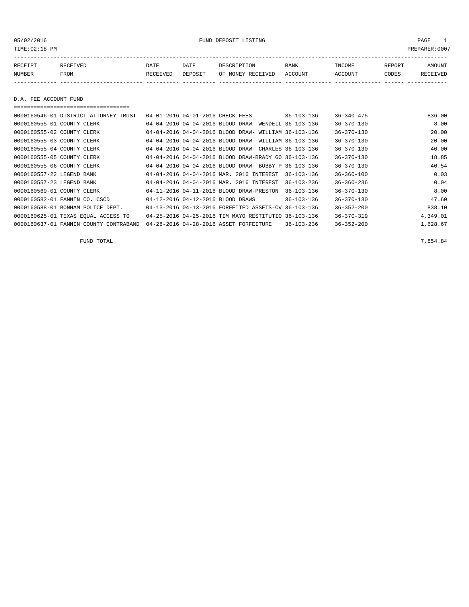05/02/2016 FUND DEPOSIT LISTING PAGE 1

| RECEIPT | <b>RECEIVED</b> | DATE     | DATE    | DESCRIPTION       | <b>BANK</b> | INCOME  | <b>REPORT</b> | AMOUNT          |
|---------|-----------------|----------|---------|-------------------|-------------|---------|---------------|-----------------|
| NUMBER  | FROM            | RECEIVED | DEPOSIT | OF MONEY RECEIVED | ACCOUNT     | ACCOUNT | CODES         | <b>RECEIVED</b> |
|         |                 |          |         |                   |             |         |               |                 |

D.A. FEE ACCOUNT FUND

===================================

| 0000160546-01 DISTRICT ATTORNEY TRUST  |  | 04-01-2016 04-01-2016 CHECK FEES                     | $36 - 103 - 136$ | $36 - 340 - 475$ | 836.00   |
|----------------------------------------|--|------------------------------------------------------|------------------|------------------|----------|
| 0000160555-01 COUNTY CLERK             |  | 04-04-2016 04-04-2016 BLOOD DRAW- WENDELL 36-103-136 |                  | $36 - 370 - 130$ | 8.00     |
| 0000160555-02 COUNTY CLERK             |  | 04-04-2016 04-04-2016 BLOOD DRAW- WILLIAM 36-103-136 |                  | $36 - 370 - 130$ | 20.00    |
| 0000160555-03 COUNTY CLERK             |  | 04-04-2016 04-04-2016 BLOOD DRAW- WILLIAM 36-103-136 |                  | $36 - 370 - 130$ | 20.00    |
| 0000160555-04 COUNTY CLERK             |  | 04-04-2016 04-04-2016 BLOOD DRAW- CHARLES 36-103-136 |                  | $36 - 370 - 130$ | 40.00    |
| 0000160555-05 COUNTY CLERK             |  | 04-04-2016 04-04-2016 BLOOD DRAW-BRADY GO 36-103-136 |                  | $36 - 370 - 130$ | 18.85    |
| 0000160555-06 COUNTY CLERK             |  | 04-04-2016 04-04-2016 BLOOD DRAW- BOBBY P 36-103-136 |                  | $36 - 370 - 130$ | 40.54    |
| 0000160557-22 LEGEND BANK              |  | 04-04-2016 04-04-2016 MAR. 2016 INTEREST             | $36 - 103 - 136$ | $36 - 360 - 100$ | 0.03     |
| 0000160557-23 LEGEND BANK              |  | 04-04-2016 04-04-2016 MAR. 2016 INTEREST             | $36 - 103 - 236$ | $36 - 360 - 236$ | 0.04     |
| 0000160569-01 COUNTY CLERK             |  | 04-11-2016 04-11-2016 BLOOD DRAW-PRESTON             | $36 - 103 - 136$ | $36 - 370 - 130$ | 8.00     |
| 0000160582-01 FANNIN CO. CSCD          |  | 04-12-2016 04-12-2016 BLOOD DRAWS                    | $36 - 103 - 136$ | $36 - 370 - 130$ | 47.60    |
| 0000160588-01 BONHAM POLICE DEPT.      |  | 04-13-2016 04-13-2016 FORFEITED ASSETS-CV 36-103-136 |                  | $36 - 352 - 200$ | 838.10   |
| 0000160625-01 TEXAS EQUAL ACCESS TO    |  | 04-25-2016 04-25-2016 TIM MAYO RESTITUTIO 36-103-136 |                  | $36 - 370 - 319$ | 4,349.01 |
| 0000160637-01 FANNIN COUNTY CONTRABAND |  | 04-28-2016 04-28-2016 ASSET FORFEITURE               | $36 - 103 - 236$ | $36 - 352 - 200$ | 1,628.67 |

FUND TOTAL 7,854.84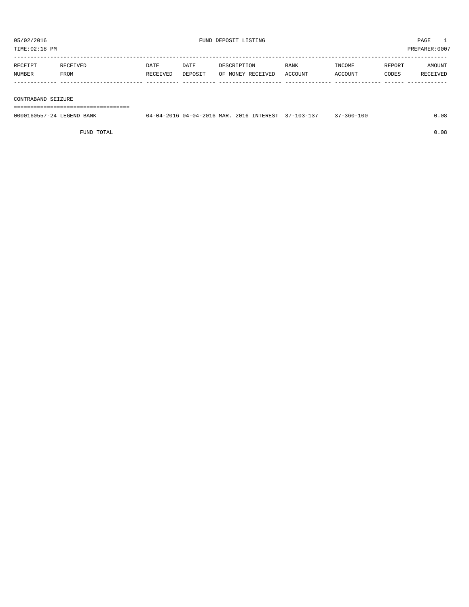TIME:02:18 PM PREPARER:0007

| RECEIPT | RECEIVED | DATE     | DATE    | ואר דידים דידים היה | <b>BANK</b> | <b>INCOME</b> | REPORT | AMOUNT          |
|---------|----------|----------|---------|---------------------|-------------|---------------|--------|-----------------|
| NUMBER  | FROM     | RECEIVED | DEPOSIT | OF MONEY RECEIVED   | ACCOUNT     | ACCOUNT       | CODES  | <b>RECEIVED</b> |
|         |          |          |         |                     |             |               |        |                 |

#### CONTRABAND SEIZURE

===================================

| 0000160557-24 LEGEND BANK | 04-04-2016 04-04-2016 MAR. 2016 INTEREST 37-103-137 37-360-100 |  | 0.08 |
|---------------------------|----------------------------------------------------------------|--|------|
|                           |                                                                |  |      |

FUND TOTAL 0.08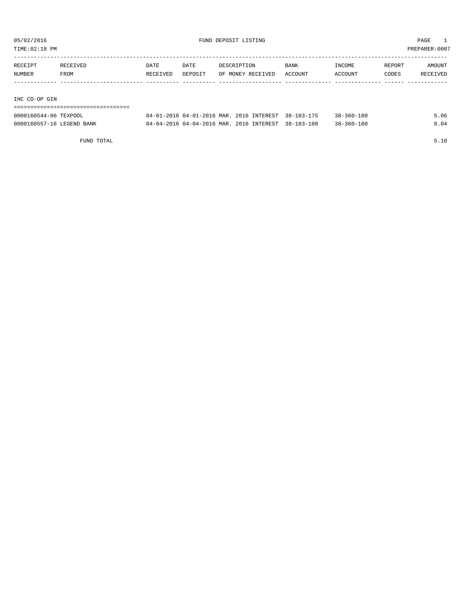TIME:02:18 PM PREPARER:0007

| RECEIPT       | RECEIVED | DATE     | DATE    | DESCRIPTION       | <b>BANK</b> | INCOME  | REPORT | AMOUNT   |
|---------------|----------|----------|---------|-------------------|-------------|---------|--------|----------|
| NUMBER        | FROM     | RECEIVED | DEPOSIT | OF MONEY RECEIVED | ACCOUNT     | ACCOUNT | CODES  | RECEIVED |
|               |          |          |         |                   |             |         |        |          |
|               |          |          |         |                   |             |         |        |          |
| IHC CO-OP GIN |          |          |         |                   |             |         |        |          |

# ===================================

| 0000160544-06 TEXPOOL     | 04-01-2016 04-01-2016 MAR. 2016 INTEREST 38-103-175  |  | $38 - 360 - 100$ | .06 |
|---------------------------|------------------------------------------------------|--|------------------|-----|
| 0000160557-16 LEGEND BANK | 04-04-2016 04-04-2016 MAR, 2016 INTEREST, 38-103-100 |  | $38 - 360 - 100$ |     |

FUND TOTAL 5.10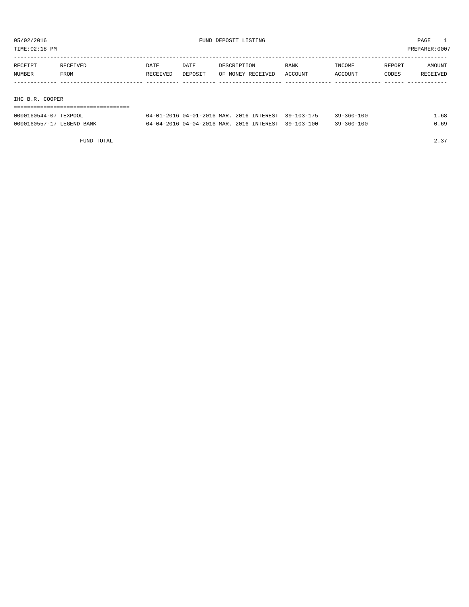TIME:02:18 PM PREPARER:0007

| RECEIPT         | RECEIVED | <b>DATE</b> | DATE    | DESCRIPTION       | <b>BANK</b> | INCOME  | REPORT | AMOUNT   |  |  |
|-----------------|----------|-------------|---------|-------------------|-------------|---------|--------|----------|--|--|
| NUMBER          | FROM     | RECEIVED    | DEPOSIT | OF MONEY RECEIVED | ACCOUNT     | ACCOUNT | CODES  | RECEIVED |  |  |
|                 |          |             |         |                   |             |         |        |          |  |  |
|                 |          |             |         |                   |             |         |        |          |  |  |
| IHC B.R. COOPER |          |             |         |                   |             |         |        |          |  |  |
|                 |          |             |         |                   |             |         |        |          |  |  |

| 0000160544-07 TEXPOOL     | 04-01-2016 04-01-2016 MAR. 2016 INTEREST 39-103-175 | $39 - 360 - 100$ | . 68 |
|---------------------------|-----------------------------------------------------|------------------|------|
| 0000160557-17 LEGEND BANK | 04-04-2016 04-04-2016 MAR, 2016 INTEREST 39-103-100 | $39 - 360 - 100$ | 0.69 |

FUND TOTAL  $2.37$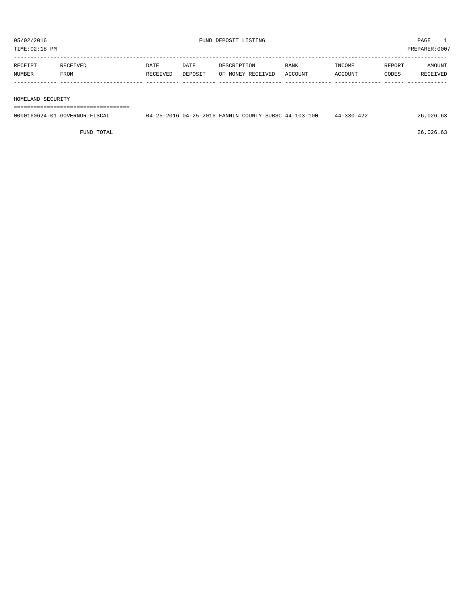| TIME:02:18 PM<br>PREPARER: 0007 |          |             |         |                   |             |         |        |               |
|---------------------------------|----------|-------------|---------|-------------------|-------------|---------|--------|---------------|
| RECEIPT                         | RECEIVED | <b>DATE</b> | DATE    | DESCRIPTION       | <b>BANK</b> | INCOME  | REPORT | <b>AMOUNT</b> |
| NUMBER                          | FROM     | RECEIVED    | DEPOSIT | OF MONEY RECEIVED | ACCOUNT     | ACCOUNT | CODES  | RECEIVED      |
|                                 |          |             |         |                   |             |         |        |               |

HOMELAND SECURITY

===================================

| 0000160624-01 GOVERNOR-FISCAL |  | 04-25-2016 04-25-2016 FANNIN COUNTY-SUBSC 44-103-100 | $330 - 422$<br>$44 -$ | 26.026 |
|-------------------------------|--|------------------------------------------------------|-----------------------|--------|
|                               |  |                                                      |                       |        |

FUND TOTAL 26,026.63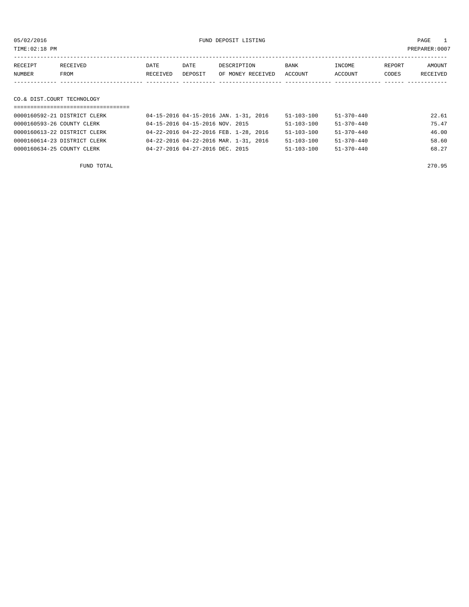| TIME: 02:18 PM |                                  |          |                                 |                                       |                  |                  |        | PREPARER:0007 |
|----------------|----------------------------------|----------|---------------------------------|---------------------------------------|------------------|------------------|--------|---------------|
| RECEIPT        | RECEIVED                         | DATE     | DATE                            | DESCRIPTION                           | <b>BANK</b>      | INCOME           | REPORT | AMOUNT        |
| NUMBER         | FROM                             | RECEIVED | DEPOSIT                         | OF MONEY RECEIVED                     | ACCOUNT          | ACCOUNT          | CODES  | RECEIVED      |
|                |                                  |          |                                 |                                       |                  |                  |        |               |
|                | CO.& DIST.COURT TECHNOLOGY       |          |                                 |                                       |                  |                  |        |               |
|                | ================================ |          |                                 |                                       |                  |                  |        |               |
|                | 0000160592-21 DISTRICT CLERK     |          |                                 | 04-15-2016 04-15-2016 JAN. 1-31, 2016 | $51 - 103 - 100$ | $51 - 370 - 440$ |        | 22.61         |
|                | 0000160593-26 COUNTY CLERK       |          | 04-15-2016 04-15-2016 NOV. 2015 |                                       | $51 - 103 - 100$ | $51 - 370 - 440$ |        | 75.47         |
|                | 0000160613-22 DISTRICT CLERK     |          |                                 | 04-22-2016 04-22-2016 FEB. 1-28, 2016 | 51-103-100       | $51 - 370 - 440$ |        | 46.00         |
|                | 0000160614-23 DISTRICT CLERK     |          |                                 | 04-22-2016 04-22-2016 MAR. 1-31, 2016 | $51 - 103 - 100$ | $51 - 370 - 440$ |        | 58.60         |
|                | 0000160634-25 COUNTY CLERK       |          | 04-27-2016 04-27-2016 DEC. 2015 |                                       | 51-103-100       | $51 - 370 - 440$ |        | 68.27         |
|                | FUND TOTAL                       |          |                                 |                                       |                  |                  |        | 270.95        |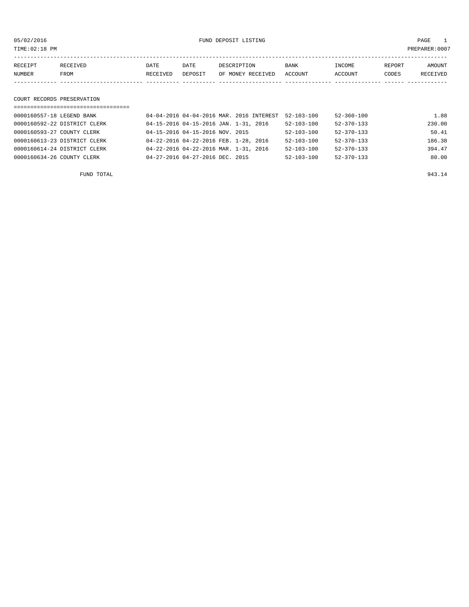05/02/2016 FUND DEPOSIT LISTING PAGE 1

| RECEIPT | RECEIVED | DATE     | DATE    | DESCRIPTION       | <b>BANK</b> | INCOME         | REPORT | AMOUNT   |
|---------|----------|----------|---------|-------------------|-------------|----------------|--------|----------|
| NUMBER  | FROM     | RECEIVED | DEPOSIT | OF MONEY RECEIVED | ACCOUNT     | <b>ACCOUNT</b> | CODES  | RECEIVED |
|         |          |          |         |                   |             |                |        |          |

# COURT RECORDS PRESERVATION

| ================================== |                                          |                  |                  |        |
|------------------------------------|------------------------------------------|------------------|------------------|--------|
| 0000160557-18 LEGEND BANK          | 04-04-2016 04-04-2016 MAR. 2016 INTEREST | $52 - 103 - 100$ | $52 - 360 - 100$ | 1.88   |
| 0000160592-22 DISTRICT CLERK       | 04-15-2016 04-15-2016 JAN. 1-31, 2016    | $52 - 103 - 100$ | $52 - 370 - 133$ | 230.00 |
| 0000160593-27 COUNTY CLERK         | 04-15-2016 04-15-2016 NOV. 2015          | $52 - 103 - 100$ | $52 - 370 - 133$ | 50.41  |
| 0000160613-23 DISTRICT CLERK       | 04-22-2016 04-22-2016 FEB. 1-28, 2016    | $52 - 103 - 100$ | $52 - 370 - 133$ | 186.38 |
| 0000160614-24 DISTRICT CLERK       | 04-22-2016 04-22-2016 MAR. 1-31, 2016    | $52 - 103 - 100$ | $52 - 370 - 133$ | 394.47 |
| 0000160634-26 COUNTY CLERK         | 04-27-2016 04-27-2016 DEC. 2015          | $52 - 103 - 100$ | $52 - 370 - 133$ | 80.00  |

FUND TOTAL 943.14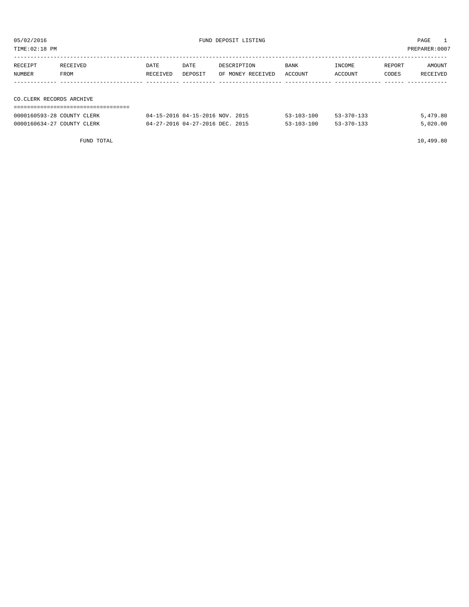| PREPARER: 0007<br>TIME:02:18 PM |          |          |                                 |                   |                  |                  |        |          |  |
|---------------------------------|----------|----------|---------------------------------|-------------------|------------------|------------------|--------|----------|--|
| RECEIPT                         | RECEIVED | DATE     | DATE                            | DESCRIPTION       | BANK             | INCOME           | REPORT | AMOUNT   |  |
| NUMBER                          | FROM     | RECEIVED | DEPOSIT                         | OF MONEY RECEIVED | ACCOUNT          | ACCOUNT          | CODES  | RECEIVED |  |
|                                 |          |          |                                 |                   |                  |                  |        |          |  |
| CO.CLERK RECORDS ARCHIVE        |          |          |                                 |                   |                  |                  |        |          |  |
|                                 |          |          |                                 |                   |                  |                  |        |          |  |
| 0000160593-28 COUNTY CLERK      |          |          | 04-15-2016 04-15-2016 NOV. 2015 |                   | $53 - 103 - 100$ | $53 - 370 - 133$ |        | 5,479.80 |  |

0000160634-27 COUNTY CLERK 04-27-2016 04-27-2016 DEC. 2015 53-103-100 53-370-133 5,020.00

FUND TOTAL 10,499.80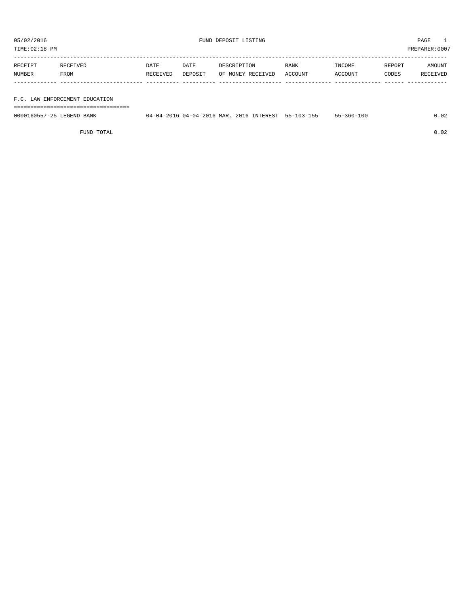TIME:02:18 PM PREPARER:0007

| RECEIPT | RECEIVED | DATE     | DATE    | DESCRIPTION       | <b>BANK</b> | INCOME  | REPORT | AMOUNT   |
|---------|----------|----------|---------|-------------------|-------------|---------|--------|----------|
| NUMBER  | FROM     | RECEIVED | DEPOSIT | OF MONEY RECEIVED | ACCOUNT     | ACCOUNT | CODES  | RECEIVED |
|         |          |          |         |                   |             |         |        |          |
|         |          |          |         |                   |             |         |        |          |

F.C. LAW ENFORCEMENT EDUCATION

===================================

| 0000160557-25 LEGEND BANK | 04-04-2016 04-04-2016 MAR. 2016 INTEREST 55-103-155 |  | 55-360-100 | 0.02 |
|---------------------------|-----------------------------------------------------|--|------------|------|
|                           |                                                     |  |            |      |

FUND TOTAL 0.02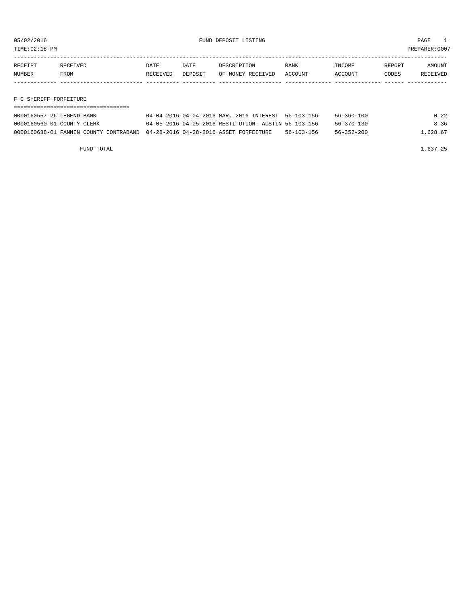TIME:02:18 PM PREPARER:0007

| RECEIPT       | RECEIVED | DATE     | DATE    | DESCRIPTION       | <b>BANK</b> | INCOME  | REPORT | AMOUNT   |
|---------------|----------|----------|---------|-------------------|-------------|---------|--------|----------|
| <b>NUMBER</b> | FROM     | RECEIVED | DEPOSIT | OF MONEY RECEIVED | ACCOUNT     | ACCOUNT | CODES  | RECEIVED |
|               |          |          |         |                   |             |         |        |          |
|               |          |          |         |                   |             |         |        |          |

F C SHERIFF FORFEITURE

| 0000160557-26 LEGEND BANK                                                     | 04-04-2016 04-04-2016 MAR. 2016 INTEREST 56-103-156  |                  | $56 - 360 - 100$ | 0.22     |
|-------------------------------------------------------------------------------|------------------------------------------------------|------------------|------------------|----------|
| 0000160560-01 COUNTY CLERK                                                    | 04-05-2016 04-05-2016 RESTITUTION- AUSTIN 56-103-156 |                  | $56 - 370 - 130$ | 8.36     |
| 0000160638-01 FANNIN COUNTY CONTRABAND 04-28-2016 04-28-2016 ASSET FORFEITURE |                                                      | $56 - 103 - 156$ | $56 - 352 - 200$ | 1,628.67 |

FUND TOTAL 1,637.25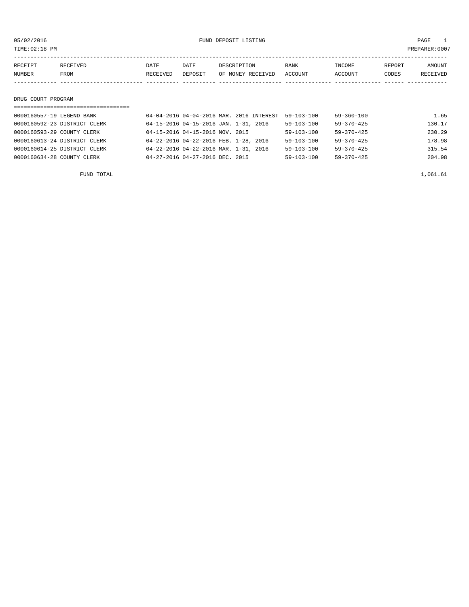05/02/2016 FUND DEPOSIT LISTING PAGE 1

| RECEIPT | RECEIVED | DATE     | DATE    | DESCRIPTION       | <b>BANK</b> | INCOME  | REPORT | AMOUNT   |
|---------|----------|----------|---------|-------------------|-------------|---------|--------|----------|
| NUMBER  | FROM     | RECEIVED | DEPOSIT | OF MONEY RECEIVED | ACCOUNT     | ACCOUNT | CODES  | RECEIVED |
|         |          |          |         |                   |             |         |        |          |
|         |          |          |         |                   |             |         |        |          |

### DRUG COURT PROGRAM

| ==================================== |                                          |                  |                  |        |
|--------------------------------------|------------------------------------------|------------------|------------------|--------|
| 0000160557-19 LEGEND BANK            | 04-04-2016 04-04-2016 MAR. 2016 INTEREST | $59 - 103 - 100$ | $59 - 360 - 100$ | 1.65   |
| 0000160592-23 DISTRICT CLERK         | 04-15-2016 04-15-2016 JAN. 1-31, 2016    | $59 - 103 - 100$ | $59 - 370 - 425$ | 130.17 |
| 0000160593-29 COUNTY CLERK           | 04-15-2016 04-15-2016 NOV. 2015          | $59 - 103 - 100$ | $59 - 370 - 425$ | 230.29 |
| 0000160613-24 DISTRICT CLERK         | 04-22-2016 04-22-2016 FEB. 1-28, 2016    | $59 - 103 - 100$ | $59 - 370 - 425$ | 178.98 |
| 0000160614-25 DISTRICT CLERK         | 04-22-2016 04-22-2016 MAR. 1-31, 2016    | $59 - 103 - 100$ | $59 - 370 - 425$ | 315.54 |
| 0000160634-28 COUNTY CLERK           | 04-27-2016 04-27-2016 DEC. 2015          | $59 - 103 - 100$ | $59 - 370 - 425$ | 204.98 |
|                                      |                                          |                  |                  |        |

FUND TOTAL  $1,061.61$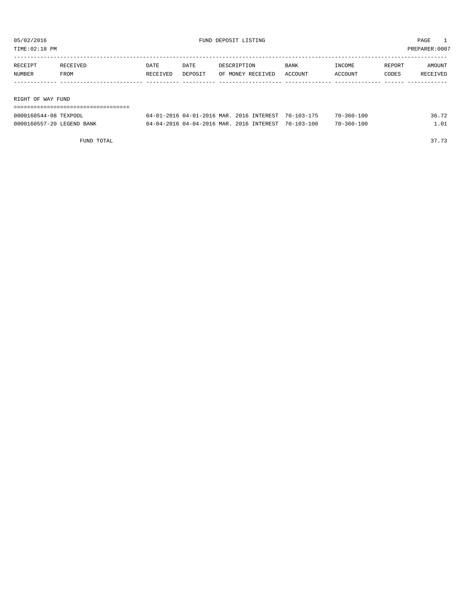TIME:02:18 PM PREPARER:0007

| RECEIPT | RECEIVED          | DATE     | DATE    | DESCRIPTION       | BANK    | INCOME  | REPORT | AMOUNT   |  |  |
|---------|-------------------|----------|---------|-------------------|---------|---------|--------|----------|--|--|
| NUMBER  | FROM              | RECEIVED | DEPOSIT | OF MONEY RECEIVED | ACCOUNT | ACCOUNT | CODES  | RECEIVED |  |  |
|         |                   |          |         |                   |         |         |        |          |  |  |
|         |                   |          |         |                   |         |         |        |          |  |  |
|         | RIGHT OF WAY FUND |          |         |                   |         |         |        |          |  |  |
|         |                   |          |         |                   |         |         |        |          |  |  |

| 0000160544-08 TEXPOOL     | 04-01-2016 04-01-2016 MAR. 2016 INTEREST 70-103-175 |  | $70 - 360 - 100$ | 36.72 |
|---------------------------|-----------------------------------------------------|--|------------------|-------|
| 0000160557-20 LEGEND BANK | 04-04-2016 04-04-2016 MAR. 2016 INTEREST 70-103-100 |  | $70 - 360 - 100$ |       |

FUND TOTAL 37.73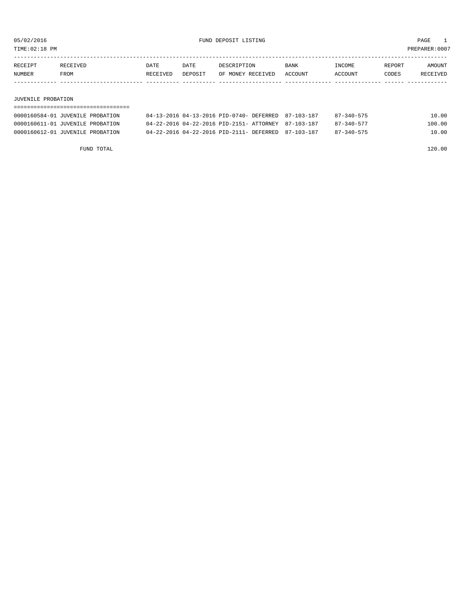TIME:02:18 PM PREPARER:0007

| RECEIPT | RECEIVED | DATE     | DATE           | DESCRIPTION       | <b>BANK</b> | <b>INCOME</b> | REPORT | AMOUNT          |
|---------|----------|----------|----------------|-------------------|-------------|---------------|--------|-----------------|
| NUMBER  | FROM     | RECEIVED | <b>DEPOSTT</b> | OF MONEY RECEIVED | ACCOUNT     | ACCOUNT       | CODES  | <b>RECEIVED</b> |
|         |          |          |                |                   |             |               |        |                 |

#### JUVENILE PROBATION

| 0000160584-01 JUVENILE PROBATION | 04-13-2016 04-13-2016 PID-0740- DEFERRED 87-103-187 | 87-340-575       | 10.00  |
|----------------------------------|-----------------------------------------------------|------------------|--------|
| 0000160611-01 JUVENILE PROBATION | 04-22-2016 04-22-2016 PID-2151- ATTORNEY 87-103-187 | $87 - 340 - 577$ | 100.00 |
| 0000160612-01 JUVENILE PROBATION | 04-22-2016 04-22-2016 PID-2111- DEFERRED 87-103-187 | $87 - 340 - 575$ | 10.00  |

FUND TOTAL 120.00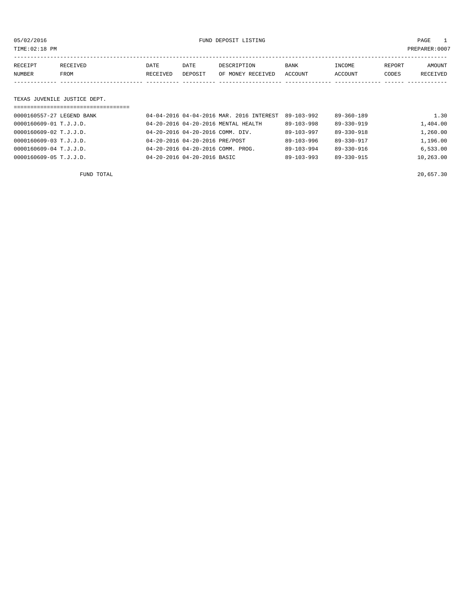05/02/2016 FUND DEPOSIT LISTING PAGE 1

| RECEIPT | <b>RECEIVED</b> | DATE     | DATE    | DESCRIPTION       | <b>BANK</b> | INCOME  | REPORT | AMOUNT   |
|---------|-----------------|----------|---------|-------------------|-------------|---------|--------|----------|
| NUMBER  | FROM            | RECEIVED | DEPOSIT | OF MONEY RECEIVED | ACCOUNT     | ACCOUNT | CODES  | RECEIVED |
|         |                 |          |         |                   |             |         |        |          |

### TEXAS JUVENILE JUSTICE DEPT.

| =================================== |                                          |                  |                  |           |
|-------------------------------------|------------------------------------------|------------------|------------------|-----------|
| 0000160557-27 LEGEND BANK           | 04-04-2016 04-04-2016 MAR. 2016 INTEREST | 89-103-992       | $89 - 360 - 189$ | 1.30      |
| 0000160609-01 T.J.J.D.              | 04-20-2016 04-20-2016 MENTAL HEALTH      | $89 - 103 - 998$ | $89 - 330 - 919$ | 1,404.00  |
| 0000160609-02 T.J.J.D.              | 04-20-2016 04-20-2016 COMM. DIV.         | $89 - 103 - 997$ | $89 - 330 - 918$ | 1,260.00  |
| 0000160609-03 T.J.J.D.              | 04-20-2016 04-20-2016 PRE/POST           | $89 - 103 - 996$ | 89-330-917       | 1,196.00  |
| 0000160609-04 T.J.J.D.              | 04-20-2016 04-20-2016 COMM. PROG.        | $89 - 103 - 994$ | $89 - 330 - 916$ | 6.533.00  |
| 0000160609-05 T.J.J.D.              | 04-20-2016 04-20-2016 BASIC              | $89 - 103 - 993$ | 89-330-915       | 10,263.00 |
|                                     |                                          |                  |                  |           |

FUND TOTAL 20,657.30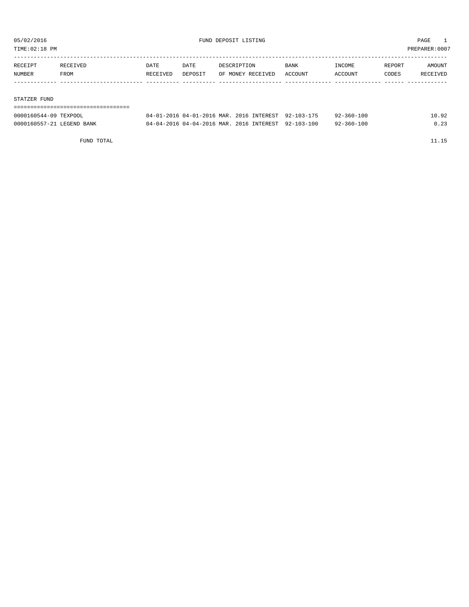TIME:02:18 PM PREPARER:0007

| RECEIPT | RECEIVED | DATE     | DATE    | DESCRIPTION       | BANK    | INCOME  | REPORT | AMOUNT   |
|---------|----------|----------|---------|-------------------|---------|---------|--------|----------|
| NUMBER  | FROM     | RECEIVED | DEPOSIT | OF MONEY RECEIVED | ACCOUNT | ACCOUNT | CODES  | RECEIVED |
|         |          |          |         |                   |         |         |        |          |
|         |          |          |         |                   |         |         |        |          |

#### STATZER FUND

| 0000160544-09 TEXPOOL     | 04-01-2016 04-01-2016 MAR, 2016 INTEREST 92-103-175 |  | 92-360-100 | 10.92 |
|---------------------------|-----------------------------------------------------|--|------------|-------|
| 0000160557-21 LEGEND BANK | 04-04-2016 04-04-2016 MAR, 2016 INTEREST 92-103-100 |  | 92-360-100 | 0.23  |

FUND TOTAL 11.15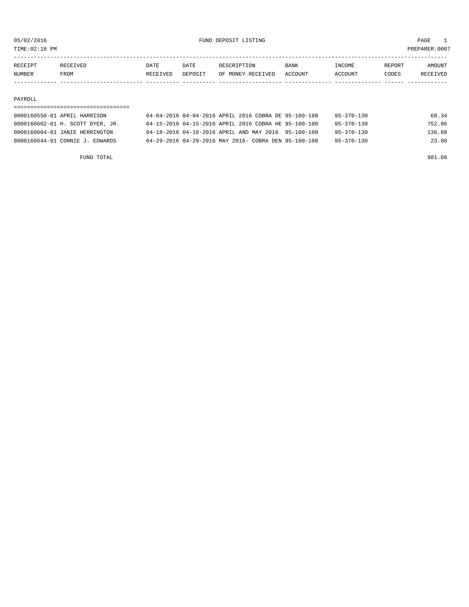TIME:02:18 PM PREPARER:0007

| <b>NUMBER</b> | FROM            | RECEIVED | DEPOSIT | OF MONEY RECEIVED | <b>ACCOUNT</b> | CCOUNT       | CODES  | "VEI   |
|---------------|-----------------|----------|---------|-------------------|----------------|--------------|--------|--------|
| RECEIPT       | <b>RECEIVED</b> | DATE     | DATE    | RSCRIPTION        | <b>BANK</b>    | <b>NCOME</b> | REPORT | AMOUNT |
|               |                 |          |         |                   |                |              |        |        |

#### PAYROLL

# =================================== 0000160550-01 APRIL HARRISON 04-04-2016 04-04-2016 APRIL 2016 COBRA DE 95-100-100 95-370-130 68.34 0000160602-01 H. SCOTT DYER, JR. 04-15-2016 04-15-2016 APRIL 2016 COBRA HE 95-100-100 95-370-130 752.86 0000160604-01 JANIE HERRINGTON 04-18-2016 04-18-2016 APRIL AND MAY 2016 95-100-100 95-370-130 136.68 0000160644-01 CONNIE J. EDWARDS 04-29-2016 04-29-2016 MAY 2016- COBRA DEN 95-100-100 95-370-130 23.80

FUND TOTAL 981.68

| 1757 GT 777 | ست و تناب تنابذ | <u>.</u> | ----    | UUUULII LUN               | <b>DAIL</b> |         | TART OILL | <b>LUCCION</b> |
|-------------|-----------------|----------|---------|---------------------------|-------------|---------|-----------|----------------|
| NUMBER      | <b>FROM</b>     | RECEIVED | DEPOSIT | OF MONEY RECEIVED ACCOUNT |             | ACCOUNT | CODES     | RECEIVED       |
|             |                 |          |         |                           |             |         |           |                |
| PAYROLL     |                 |          |         |                           |             |         |           |                |